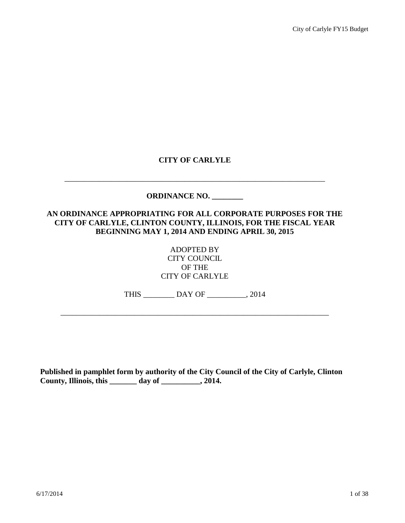# **CITY OF CARLYLE**

\_\_\_\_\_\_\_\_\_\_\_\_\_\_\_\_\_\_\_\_\_\_\_\_\_\_\_\_\_\_\_\_\_\_\_\_\_\_\_\_\_\_\_\_\_\_\_\_\_\_\_\_\_\_\_\_\_\_\_\_\_\_\_\_\_\_\_

# **ORDINANCE NO. \_\_\_\_\_\_\_\_**

# **AN ORDINANCE APPROPRIATING FOR ALL CORPORATE PURPOSES FOR THE CITY OF CARLYLE, CLINTON COUNTY, ILLINOIS, FOR THE FISCAL YEAR BEGINNING MAY 1, 2014 AND ENDING APRIL 30, 2015**

ADOPTED BY CITY COUNCIL OF THE CITY OF CARLYLE

THIS \_\_\_\_\_\_\_\_ DAY OF \_\_\_\_\_\_\_\_\_\_, 2014

\_\_\_\_\_\_\_\_\_\_\_\_\_\_\_\_\_\_\_\_\_\_\_\_\_\_\_\_\_\_\_\_\_\_\_\_\_\_\_\_\_\_\_\_\_\_\_\_\_\_\_\_\_\_\_\_\_\_\_\_\_\_\_\_\_\_\_\_\_

**Published in pamphlet form by authority of the City Council of the City of Carlyle, Clinton County, Illinois, this \_\_\_\_\_\_\_ day of \_\_\_\_\_\_\_\_\_\_, 2014.**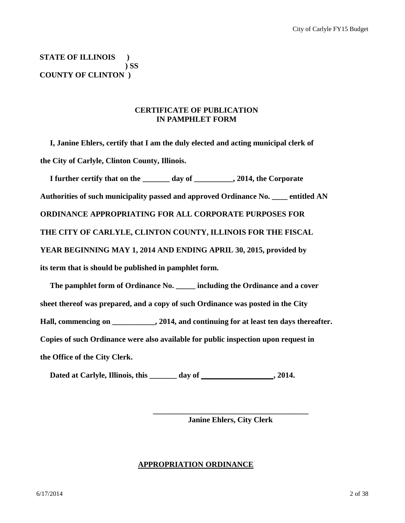**STATE OF ILLINOIS ) ) SS COUNTY OF CLINTON )**

# **CERTIFICATE OF PUBLICATION IN PAMPHLET FORM**

 **I, Janine Ehlers, certify that I am the duly elected and acting municipal clerk of the City of Carlyle, Clinton County, Illinois.**

 **I further certify that on the \_\_\_\_\_\_\_ day of \_\_\_\_\_\_\_\_\_\_, 2014, the Corporate Authorities of such municipality passed and approved Ordinance No. \_\_\_\_ entitled AN ORDINANCE APPROPRIATING FOR ALL CORPORATE PURPOSES FOR THE CITY OF CARLYLE, CLINTON COUNTY, ILLINOIS FOR THE FISCAL YEAR BEGINNING MAY 1, 2014 AND ENDING APRIL 30, 2015, provided by its term that is should be published in pamphlet form.**

 **The pamphlet form of Ordinance No. \_\_\_\_\_ including the Ordinance and a cover sheet thereof was prepared, and a copy of such Ordinance was posted in the City Hall, commencing on \_\_\_\_\_\_\_\_\_\_\_, 2014, and continuing for at least ten days thereafter. Copies of such Ordinance were also available for public inspection upon request in the Office of the City Clerk.**

**Dated at Carlyle, Illinois, this \_\_\_\_\_\_\_ day of ,** 2014.

 **\_\_\_\_\_\_\_\_\_\_\_\_\_\_\_\_\_\_\_\_\_\_\_\_\_\_\_\_\_\_\_\_\_\_\_\_\_\_\_\_**

 **Janine Ehlers, City Clerk**

# **APPROPRIATION ORDINANCE**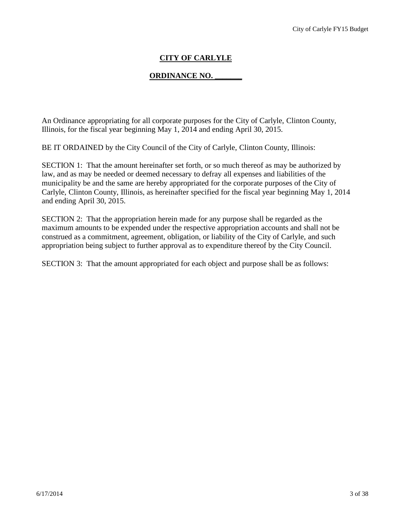# **CITY OF CARLYLE**

# **ORDINANCE NO. \_\_\_\_\_\_\_**

An Ordinance appropriating for all corporate purposes for the City of Carlyle, Clinton County, Illinois, for the fiscal year beginning May 1, 2014 and ending April 30, 2015.

BE IT ORDAINED by the City Council of the City of Carlyle, Clinton County, Illinois:

SECTION 1: That the amount hereinafter set forth, or so much thereof as may be authorized by law, and as may be needed or deemed necessary to defray all expenses and liabilities of the municipality be and the same are hereby appropriated for the corporate purposes of the City of Carlyle, Clinton County, Illinois, as hereinafter specified for the fiscal year beginning May 1, 2014 and ending April 30, 2015.

SECTION 2: That the appropriation herein made for any purpose shall be regarded as the maximum amounts to be expended under the respective appropriation accounts and shall not be construed as a commitment, agreement, obligation, or liability of the City of Carlyle, and such appropriation being subject to further approval as to expenditure thereof by the City Council.

SECTION 3: That the amount appropriated for each object and purpose shall be as follows: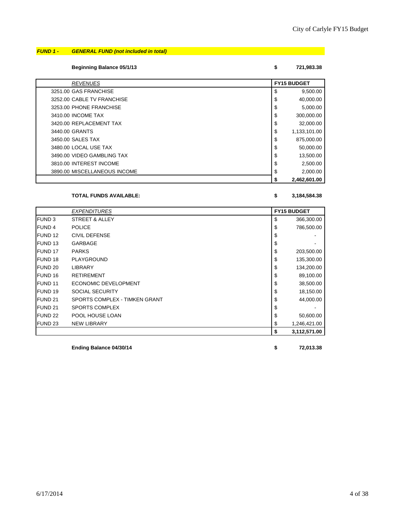# *FUND 1 - GENERAL FUND (not included in total)*

**Beginning Balance 05/1/13 \$ 721,983.38**

| <b>REVENUES</b>              | <b>FY15 BUDGET</b> |  |
|------------------------------|--------------------|--|
| 3251.00 GAS FRANCHISE        | \$<br>9,500.00     |  |
| 3252.00 CABLE TV FRANCHISE   | \$<br>40,000.00    |  |
| 3253.00 PHONE FRANCHISE      | \$<br>5,000.00     |  |
| 3410.00 INCOME TAX           | \$<br>300,000.00   |  |
| 3420.00 REPLACEMENT TAX      | \$<br>32,000.00    |  |
| 3440.00 GRANTS               | \$<br>1,133,101.00 |  |
| 3450.00 SALES TAX            | \$<br>875,000.00   |  |
| 3480.00 LOCAL USE TAX        | \$<br>50,000.00    |  |
| 3490.00 VIDEO GAMBLING TAX   | \$<br>13,500.00    |  |
| 3810.00 INTEREST INCOME      | \$<br>2,500.00     |  |
| 3890.00 MISCELLANEOUS INCOME | \$<br>2,000.00     |  |
|                              | \$<br>2,462,601.00 |  |

#### **TOTAL FUNDS AVAILABLE: \$ 3,184,584.38**

|                    | <b>EXPENDITURES</b>           | <b>FY15 BUDGET</b> |  |
|--------------------|-------------------------------|--------------------|--|
| <b>FUND3</b>       | STREET & ALLEY                | \$<br>366,300.00   |  |
| <b>IFUND 4</b>     | <b>POLICE</b>                 | \$<br>786,500.00   |  |
| <b>FUND 12</b>     | <b>CIVIL DEFENSE</b>          | \$                 |  |
| FUND <sub>13</sub> | <b>GARBAGE</b>                | \$                 |  |
| <b>FUND 17</b>     | <b>PARKS</b>                  | \$<br>203,500.00   |  |
| FUND <sub>18</sub> | PLAYGROUND                    | \$<br>135,300.00   |  |
| FUND 20            | <b>LIBRARY</b>                | \$<br>134,200.00   |  |
| FUND 16            | <b>RETIREMENT</b>             | \$<br>89,100.00    |  |
| <b>FUND 11</b>     | ECONOMIC DEVELOPMENT          | \$<br>38,500.00    |  |
| FUND 19            | <b>SOCIAL SECURITY</b>        | \$<br>18,150.00    |  |
| FUND <sub>21</sub> | SPORTS COMPLEX - TIMKEN GRANT | \$<br>44,000.00    |  |
| FUND <sub>21</sub> | <b>SPORTS COMPLEX</b>         | \$                 |  |
| <b>FUND 22</b>     | POOL HOUSE LOAN               | \$<br>50,600.00    |  |
| <b>FUND 23</b>     | <b>NEW LIBRARY</b>            | \$<br>1,246,421.00 |  |
|                    |                               | \$<br>3,112,571.00 |  |

**Ending Balance 04/30/14 \$ 72,013.38**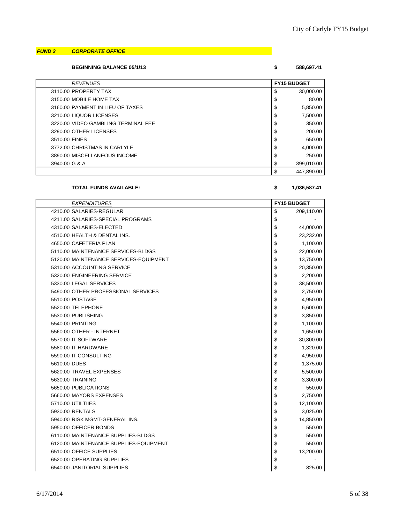### *FUND 2 CORPORATE OFFICE*

**BEGINNING BALANCE 05/1/13 \$ 588,697.41**

| 588.697. |
|----------|
|          |

| <b>REVENUES</b>                     | <b>FY15 BUDGET</b> |            |
|-------------------------------------|--------------------|------------|
| 3110.00 PROPERTY TAX                | \$                 | 30,000.00  |
| 3150.00 MOBILE HOME TAX             | \$                 | 80.00      |
| 3160.00 PAYMENT IN LIEU OF TAXES    | \$                 | 5,850.00   |
| 3210.00 LIQUOR LICENSES             | \$                 | 7.500.00   |
| 3220.00 VIDEO GAMBLING TERMINAL FEE | \$                 | 350.00     |
| 3290.00 OTHER LICENSES              | \$                 | 200.00     |
| 3510.00 FINES                       | \$                 | 650.00     |
| 3772.00 CHRISTMAS IN CARLYLE        | \$                 | 4,000.00   |
| 3890.00 MISCELLANEOUS INCOME        | \$                 | 250.00     |
| 3940.00 G & A                       | \$                 | 399,010.00 |
|                                     | \$                 | 447.890.00 |

#### **TOTAL FUNDS AVAILABLE: \$ 1,036,587.41**

| <b>EXPENDITURES</b>                    | <b>FY15 BUDGET</b> |
|----------------------------------------|--------------------|
| 4210.00 SALARIES-REGULAR               | \$<br>209,110.00   |
| 4211.00 SALARIES-SPECIAL PROGRAMS      | \$                 |
| 4310.00 SALARIES-ELECTED               | \$<br>44,000.00    |
| 4510.00 HEALTH & DENTAL INS.           | \$<br>23,232.00    |
| 4650.00 CAFETERIA PLAN                 | \$<br>1,100.00     |
| 5110.00 MAINTENANCE SERVICES-BLDGS     | \$<br>22,000.00    |
| 5120.00 MAINTENANCE SERVICES-EQUIPMENT | \$<br>13,750.00    |
| 5310.00 ACCOUNTING SERVICE             | \$<br>20,350.00    |
| 5320.00 ENGINEERING SERVICE            | \$<br>2,200.00     |
| 5330.00 LEGAL SERVICES                 | \$<br>38,500.00    |
| 5490.00 OTHER PROFESSIONAL SERVICES    | \$<br>2,750.00     |
| 5510.00 POSTAGE                        | \$<br>4,950.00     |
| 5520.00 TELEPHONE                      | \$<br>6,600.00     |
| 5530.00 PUBLISHING                     | \$<br>3,850.00     |
| 5540.00 PRINTING                       | \$<br>1,100.00     |
| 5560.00 OTHER - INTERNET               | \$<br>1,650.00     |
| 5570.00 IT SOFTWARE                    | \$<br>30,800.00    |
| 5580.00 IT HARDWARE                    | \$<br>1,320.00     |
| 5590.00 IT CONSULTING                  | \$<br>4,950.00     |
| 5610.00 DUES                           | \$<br>1,375.00     |
| 5620.00 TRAVEL EXPENSES                | \$<br>5,500.00     |
| 5630.00 TRAINING                       | \$<br>3,300.00     |
| 5650.00 PUBLICATIONS                   | \$<br>550.00       |
| 5660.00 MAYORS EXPENSES                | \$<br>2,750.00     |
| 5710.00 UTILTIIES                      | \$<br>12,100.00    |
| 5930.00 RENTALS                        | \$<br>3,025.00     |
| 5940.00 RISK MGMT-GENERAL INS.         | \$<br>14,850.00    |
| 5950.00 OFFICER BONDS                  | \$<br>550.00       |
| 6110.00 MAINTENANCE SUPPLIES-BLDGS     | \$<br>550.00       |
| 6120.00 MAINTENANCE SUPPLIES-EQUIPMENT | \$<br>550.00       |
| 6510.00 OFFICE SUPPLIES                | \$<br>13,200.00    |
| 6520.00 OPERATING SUPPLIES             | \$                 |
| 6540.00 JANITORIAL SUPPLIES            | \$<br>825.00       |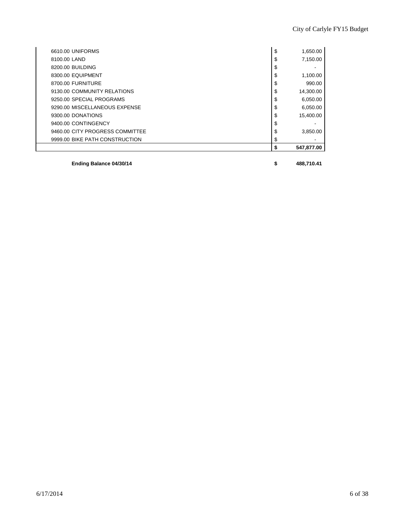|                                 | \$              |
|---------------------------------|-----------------|
| 9999.00 BIKE PATH CONSTRUCTION  |                 |
| 9460.00 CITY PROGRESS COMMITTEE | \$<br>3,850.00  |
| 9400.00 CONTINGENCY             | \$              |
| 9300.00 DONATIONS               | \$<br>15.400.00 |
| 9290.00 MISCELLANEOUS EXPENSE   | \$<br>6,050.00  |
| 9250.00 SPECIAL PROGRAMS        | \$<br>6,050.00  |
| 9130.00 COMMUNITY RELATIONS     | \$<br>14,300.00 |
| 8700.00 FURNITURE               | \$<br>990.00    |
| 8300.00 EQUIPMENT               | \$<br>1,100.00  |
| 8200.00 BUILDING                | \$              |
| 8100.00 LAND                    | \$<br>7,150.00  |
| 6610.00 UNIFORMS                | \$<br>1,650.00  |

**Ending Balance 04/30/14 \$ 488,710.41**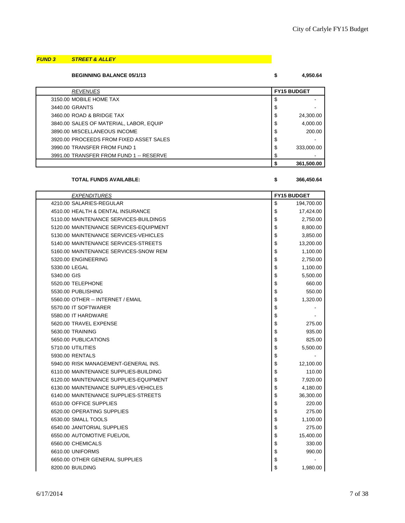# *FUND 3 STREET & ALLEY*

**BEGINNING BALANCE 05/1/13 \$ 4,950.64**

| <b>REVENUES</b>                         |    | <b>FY15 BUDGET</b> |  |
|-----------------------------------------|----|--------------------|--|
| 3150.00 MOBILE HOME TAX                 | S  |                    |  |
| 3440.00 GRANTS                          | \$ |                    |  |
| 3460.00 ROAD & BRIDGE TAX               | \$ | 24,300.00          |  |
| 3840.00 SALES OF MATERIAL, LABOR, EQUIP | \$ | 4,000.00           |  |
| 3890.00 MISCELLANEOUS INCOME            | \$ | 200.00             |  |
| 3920.00 PROCEEDS FROM FIXED ASSET SALES | \$ |                    |  |
| 3990.00 TRANSFER FROM FUND 1            | \$ | 333,000.00         |  |
| 3991.00 TRANSFER FROM FUND 1 -- RESERVE | \$ |                    |  |
|                                         |    | 361.500.00         |  |

**TOTAL FUNDS AVAILABLE: \$ 366,450.64**

| <b>EXPENDITURES</b>                    | <b>FY15 BUDGET</b> |
|----------------------------------------|--------------------|
| 4210.00 SALARIES-REGULAR               | \$<br>194,700.00   |
| 4510.00 HEALTH & DENTAL INSURANCE      | \$<br>17,424.00    |
| 5110.00 MAINTENANCE SERVICES-BUILDINGS | \$<br>2,750.00     |
| 5120.00 MAINTENANCE SERVICES-EQUIPMENT | \$<br>8,800.00     |
| 5130.00 MAINTENANCE SERVICES-VEHICLES  | \$<br>3,850.00     |
| 5140.00 MAINTENANCE SERVICES-STREETS   | \$<br>13,200.00    |
| 5160.00 MAINTENANCE SERVICES-SNOW REM  | \$<br>1,100.00     |
| 5320.00 ENGINEERING                    | \$<br>2,750.00     |
| 5330.00 LEGAL                          | \$<br>1,100.00     |
| 5340.00 GIS                            | \$<br>5,500.00     |
| 5520.00 TELEPHONE                      | \$<br>660.00       |
| 5530.00 PUBLISHING                     | \$<br>550.00       |
| 5560.00 OTHER -- INTERNET / EMAIL      | \$<br>1,320.00     |
| 5570.00 IT SOFTWARER                   | \$                 |
| 5580.00 IT HARDWARE                    | \$                 |
| 5620.00 TRAVEL EXPENSE                 | \$<br>275.00       |
| 5630.00 TRAINING                       | \$<br>935.00       |
| 5650.00 PUBLICATIONS                   | \$<br>825.00       |
| 5710.00 UTILITIES                      | \$<br>5,500.00     |
| 5930.00 RENTALS                        | \$                 |
| 5940.00 RISK MANAGEMENT-GENERAL INS.   | \$<br>12,100.00    |
| 6110.00 MAINTENANCE SUPPLIES-BUILDING  | \$<br>110.00       |
| 6120.00 MAINTENANCE SUPPLIES-EQUIPMENT | \$<br>7,920.00     |
| 6130.00 MAINTENANCE SUPPLIES-VEHICLES  | \$<br>4,180.00     |
| 6140.00 MAINTENANCE SUPPLIES-STREETS   | \$<br>36,300.00    |
| 6510.00 OFFICE SUPPLIES                | \$<br>220.00       |
| 6520.00 OPERATING SUPPLIES             | \$<br>275.00       |
| 6530.00 SMALL TOOLS                    | \$<br>1,100.00     |
| 6540.00 JANITORIAL SUPPLIES            | \$<br>275.00       |
| 6550.00 AUTOMOTIVE FUEL/OIL            | \$<br>15,400.00    |
| 6560.00 CHEMICALS                      | \$<br>330.00       |
| 6610.00 UNIFORMS                       | \$<br>990.00       |
| 6650.00 OTHER GENERAL SUPPLIES         | \$                 |
| 8200.00 BUILDING                       | \$<br>1,980.00     |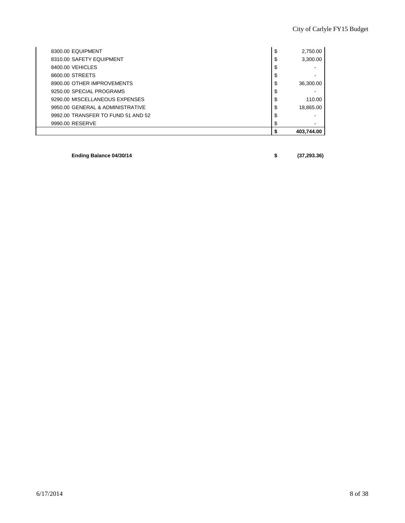| 8300.00 EQUIPMENT                  | \$ | 2,750.00   |
|------------------------------------|----|------------|
| 8310.00 SAFETY EQUIPMENT           | \$ | 3,300.00   |
| 8400.00 VEHICLES                   | S  |            |
| 8600.00 STREETS                    |    |            |
| 8900.00 OTHER IMPROVEMENTS         | S  | 36,300.00  |
| 9250.00 SPECIAL PROGRAMS           | S  |            |
| 9290.00 MISCELLANEOUS EXPENSES     | \$ | 110.00     |
| 9950.00 GENERAL & ADMINISTRATIVE   | \$ | 18,865.00  |
| 9992.00 TRANSFER TO FUND 51 AND 52 | S  |            |
| 9990.00 RESERVE                    |    | -          |
|                                    |    | 403,744.00 |

**Ending Balance 04/30/14 \$ (37,293.36)**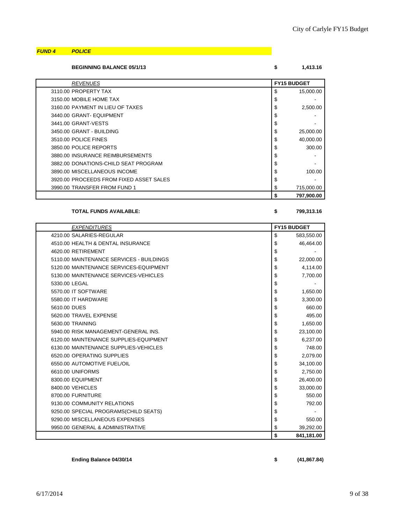### *FUND 4 POLICE*

| <b>BEGINNING BALANCE 05/1/13</b> |          |
|----------------------------------|----------|
|                                  | l.413.16 |

| <b>REVENUES</b>                         |    | <b>FY15 BUDGET</b> |  |
|-----------------------------------------|----|--------------------|--|
| 3110.00 PROPERTY TAX                    | \$ | 15,000.00          |  |
| 3150.00 MOBILE HOME TAX                 | \$ |                    |  |
| 3160.00 PAYMENT IN LIEU OF TAXES        | \$ | 2,500.00           |  |
| 3440.00 GRANT- EQUIPMENT                | \$ |                    |  |
| 3441.00 GRANT-VESTS                     | \$ |                    |  |
| 3450.00 GRANT - BUILDING                | \$ | 25,000.00          |  |
| 3510.00 POLICE FINES                    | \$ | 40,000.00          |  |
| 3850.00 POLICE REPORTS                  | \$ | 300.00             |  |
| 3880.00 INSURANCE REIMBURSEMENTS        | \$ |                    |  |
| 3882.00 DONATIONS-CHILD SEAT PROGRAM    | \$ |                    |  |
| 3890.00 MISCELLANEOUS INCOME            | \$ | 100.00             |  |
| 3920.00 PROCEEDS FROM FIXED ASSET SALES | \$ |                    |  |
| 3990.00 TRANSFER FROM FUND 1            | \$ | 715,000.00         |  |
|                                         | S  | 797,900.00         |  |

#### **TOTAL FUNDS AVAILABLE: \$ 799,313.16**

| <b>EXPENDITURES</b>                      | <b>FY15 BUDGET</b> |
|------------------------------------------|--------------------|
| 4210.00 SALARIES-REGULAR                 | \$<br>583,550.00   |
| 4510.00 HEALTH & DENTAL INSURANCE        | \$<br>46,464.00    |
| 4620.00 RETIREMENT                       | \$                 |
| 5110.00 MAINTENANCE SERVICES - BUILDINGS | \$<br>22,000.00    |
| 5120.00 MAINTENANCE SERVICES-EQUIPMENT   | \$<br>4,114.00     |
| 5130.00 MAINTENANCE SERVICES-VEHICLES    | \$<br>7,700.00     |
| 5330.00 LEGAL                            | \$                 |
| 5570.00 IT SOFTWARE                      | \$<br>1,650.00     |
| 5580.00 IT HARDWARE                      | \$<br>3,300.00     |
| 5610.00 DUES                             | \$<br>660.00       |
| 5620.00 TRAVEL EXPENSE                   | \$<br>495.00       |
| 5630.00 TRAINING                         | \$<br>1,650.00     |
| 5940.00 RISK MANAGEMENT-GENERAL INS.     | \$<br>23,100.00    |
| 6120.00 MAINTENANCE SUPPLIES-EQUIPMENT   | \$<br>6,237.00     |
| 6130.00 MAINTENANCE SUPPLIES-VEHICLES    | \$<br>748.00       |
| 6520.00 OPERATING SUPPLIES               | \$<br>2,079.00     |
| 6550.00 AUTOMOTIVE FUEL/OIL              | \$<br>34,100.00    |
| 6610.00 UNIFORMS                         | \$<br>2,750.00     |
| 8300.00 EQUIPMENT                        | \$<br>26,400.00    |
| 8400.00 VEHICLES                         | \$<br>33,000.00    |
| 8700.00 FURNITURE                        | \$<br>550.00       |
| 9130.00 COMMUNITY RELATIONS              | \$<br>792.00       |
| 9250.00 SPECIAL PROGRAMS(CHILD SEATS)    | \$                 |
| 9290.00 MISCELLANEOUS EXPENSES           | \$<br>550.00       |
| 9950.00 GENERAL & ADMINISTRATIVE         | \$<br>39,292.00    |
|                                          | \$<br>841,181.00   |

**Ending Balance 04/30/14 \$ (41,867.84)**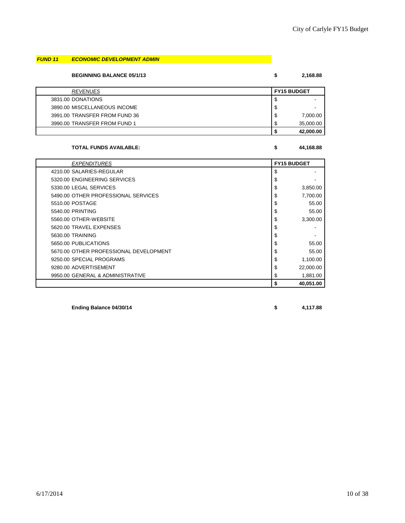# *FUND 11 ECONOMIC DEVELOPMENT ADMIN*

**BEGINNING BALANCE 05/1/13 \$ 2,168.88**

| <b>REVENUES</b>               |    | <b>FY15 BUDGET</b> |  |
|-------------------------------|----|--------------------|--|
| 3831.00 DONATIONS             | ◡  |                    |  |
| 3890.00 MISCELLANEOUS INCOME  | S  |                    |  |
| 3991.00 TRANSFER FROM FUND 36 | S  | 7,000.00           |  |
| 3990.00 TRANSFER FROM FUND 1  | S. | 35,000.00          |  |
|                               |    | 42,000.00          |  |

### **TOTAL FUNDS AVAILABLE: \$ 44,168.88**

| <b>EXPENDITURES</b>                    | <b>FY15 BUDGET</b> |
|----------------------------------------|--------------------|
| 4210.00 SALARIES-REGULAR               | \$                 |
| 5320.00 ENGINEERING SERVICES           | \$                 |
| 5330.00 LEGAL SERVICES                 | \$<br>3,850.00     |
| 5490.00 OTHER PROFESSIONAL SERVICES    | \$<br>7,700.00     |
| 5510.00 POSTAGE                        | \$<br>55.00        |
| 5540.00 PRINTING                       | \$<br>55.00        |
| 5560.00 OTHER-WEBSITE                  | \$<br>3,300.00     |
| 5620.00 TRAVEL EXPENSES                | \$                 |
| 5630.00 TRAINING                       | \$                 |
| 5650.00 PUBLICATIONS                   | \$<br>55.00        |
| 5670.00 OTHER PROFESSIONAL DEVELOPMENT | \$<br>55.00        |
| 9250.00 SPECIAL PROGRAMS               | \$<br>1,100.00     |
| 9280.00 ADVERTISEMENT                  | \$<br>22,000.00    |
| 9950.00 GENERAL & ADMINISTRATIVE       | \$<br>1,881.00     |
|                                        | \$<br>40.051.00    |

**Ending Balance 04/30/14 \$ 4,117.88**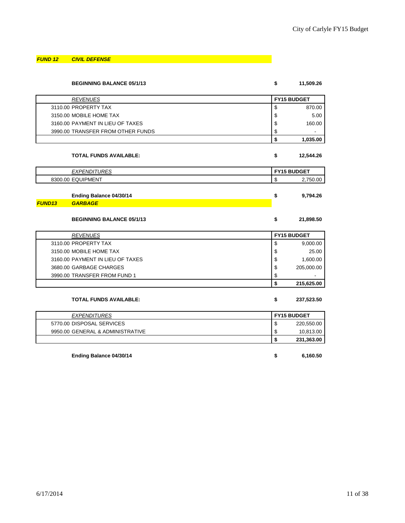*FUND 12 CIVIL DEFENSE*

| <b>BEGINNING BALANCE 05/1/13</b>  | \$<br>11,509.26    |
|-----------------------------------|--------------------|
| <b>REVENUES</b>                   | <b>FY15 BUDGET</b> |
| 3110.00 PROPERTY TAX              | \$<br>870.00       |
| 3150.00 MOBILE HOME TAX           | \$<br>5.00         |
| 3160.00 PAYMENT IN LIEU OF TAXES  | \$<br>160.00       |
| 3990.00 TRANSFER FROM OTHER FUNDS | \$                 |
|                                   | \$<br>1,035.00     |
| <b>TOTAL FUNDS AVAILABLE:</b>     | \$<br>12,544.26    |
| <b>EXPENDITURES</b>               | <b>FY15 BUDGET</b> |
| 8300.00 EQUIPMENT                 | \$<br>2,750.00     |
|                                   |                    |
| Ending Balance 04/30/14           | \$<br>9,794.26     |
| <b>GARBAGE</b><br><b>FUND13</b>   |                    |
| <b>BEGINNING BALANCE 05/1/13</b>  | \$<br>21,898.50    |
| <b>REVENUES</b>                   | <b>FY15 BUDGET</b> |
| 3110.00 PROPERTY TAX              | \$<br>9,000.00     |
| 3150.00 MOBILE HOME TAX           | \$<br>25.00        |
| 3160.00 PAYMENT IN LIEU OF TAXES  | \$<br>1,600.00     |
| 3680.00 GARBAGE CHARGES           | \$<br>205,000.00   |
| 3990.00 TRANSFER FROM FUND 1      | \$                 |
|                                   | \$<br>215,625.00   |
| <b>TOTAL FUNDS AVAILABLE:</b>     | \$<br>237,523.50   |
| <b>EXPENDITURES</b>               | <b>FY15 BUDGET</b> |
| 5770.00 DISPOSAL SERVICES         | \$<br>220,550.00   |
| 9950.00 GENERAL & ADMINISTRATIVE  | \$<br>10,813.00    |
|                                   | \$<br>231,363.00   |
| Ending Balance 04/30/14           | \$<br>6,160.50     |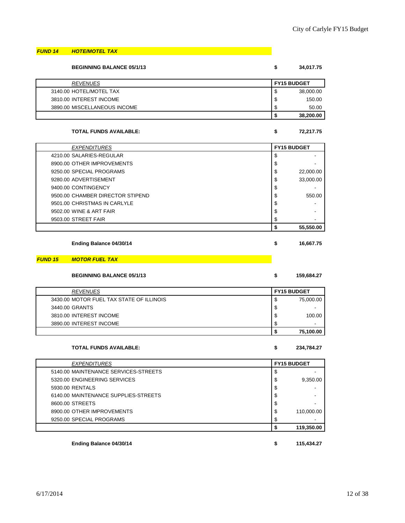#### *FUND 14 HOTE/MOTEL TAX*

| <b>BEGINNING BALANCE 05/1/13</b> | \$                 | 34,017.75 |
|----------------------------------|--------------------|-----------|
| <b>REVENUES</b>                  | <b>FY15 BUDGET</b> |           |
| 3140.00 HOTEL/MOTEL TAX          | S                  | 38,000.00 |
| 3810.00 INTEREST INCOME          | S                  | 150.00    |
| 3890.00 MISCELLANEOUS INCOME     | S                  | 50.00     |
|                                  |                    | 38,200.00 |

#### **TOTAL FUNDS AVAILABLE: \$ 72,217.75**

| 72.217.7 |  |  |
|----------|--|--|

| <b>EXPENDITURES</b>              | <b>FY15 BUDGET</b> |  |
|----------------------------------|--------------------|--|
| 4210.00 SALARIES-REGULAR         | \$                 |  |
| 8900.00 OTHER IMPROVEMENTS       | \$                 |  |
| 9250.00 SPECIAL PROGRAMS         | \$<br>22,000.00    |  |
| 9280.00 ADVERTISEMENT            | \$<br>33.000.00    |  |
| 9400.00 CONTINGENCY              | \$                 |  |
| 9500.00 CHAMBER DIRECTOR STIPEND | \$<br>550.00       |  |
| 9501.00 CHRISTMAS IN CARLYLE     | \$                 |  |
| 9502.00 WINE & ART FAIR          | \$                 |  |
| 9503.00 STREET FAIR              | \$                 |  |
|                                  | 55,550.00          |  |

| Ending Balance 04/30/14 | 16,667.75 |
|-------------------------|-----------|
|                         |           |

#### *FUND 15 MOTOR FUEL TAX*

#### **BEGINNING BALANCE 05/1/13 \$ 159,684.27**

| <b>REVENUES</b>                          | <b>FY15 BUDGET</b> |           |
|------------------------------------------|--------------------|-----------|
| 3430.00 MOTOR FUEL TAX STATE OF ILLINOIS | S                  | 75,000.00 |
| 3440.00 GRANTS                           | \$                 | -         |
| 3810.00 INTEREST INCOME                  | \$                 | 100.00    |
| 3890.00 INTEREST INCOME                  | \$                 | -         |
|                                          |                    | 75,100.00 |

#### **TOTAL FUNDS AVAILABLE: \$ 234,784.27**

| <b>EXPENDITURES</b>                  |    | <b>FY15 BUDGET</b> |  |
|--------------------------------------|----|--------------------|--|
| 5140.00 MAINTENANCE SERVICES-STREETS | S  |                    |  |
| 5320.00 ENGINEERING SERVICES         | \$ | 9,350.00           |  |
| 5930.00 RENTALS                      | \$ |                    |  |
| 6140.00 MAINTENANCE SUPPLIES-STREETS | \$ |                    |  |
| 8600.00 STREETS                      | S  |                    |  |
| 8900.00 OTHER IMPROVEMENTS           | \$ | 110,000.00         |  |
| 9250.00 SPECIAL PROGRAMS             | S  |                    |  |
|                                      |    | 119,350.00         |  |

**Ending Balance 04/30/14 \$ 115,434.27**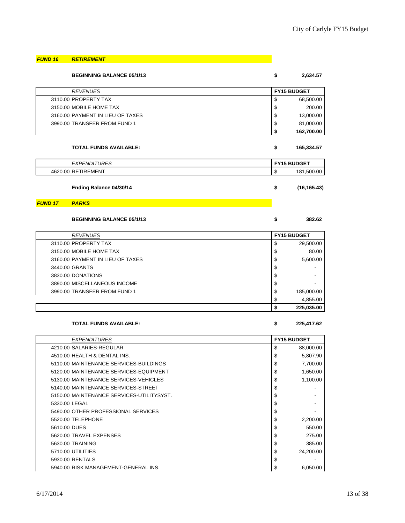| <b>FUND 16</b> | <b>RETIREMENT</b>                |                    |
|----------------|----------------------------------|--------------------|
|                | <b>BEGINNING BALANCE 05/1/13</b> | \$<br>2,634.57     |
|                | <b>REVENUES</b>                  | <b>FY15 BUDGET</b> |
|                | 3110.00 PROPERTY TAX             | \$<br>68,500.00    |
|                | 3150.00 MOBILE HOME TAX          | \$<br>200.00       |
|                | 3160.00 PAYMENT IN LIEU OF TAXES | \$<br>13,000.00    |
|                | 3990.00 TRANSFER FROM FUND 1     | \$<br>81,000.00    |
|                |                                  | \$<br>162,700.00   |
|                | <b>TOTAL FUNDS AVAILABLE:</b>    | \$<br>165,334.57   |
|                | <b>EXPENDITURES</b>              | <b>FY15 BUDGET</b> |
|                | 4620.00 RETIREMENT               | \$<br>181,500.00   |
|                | Ending Balance 04/30/14          | \$<br>(16, 165.43) |
| <b>FUND 17</b> | <b>PARKS</b>                     |                    |
|                | <b>BEGINNING BALANCE 05/1/13</b> | \$<br>382.62       |
|                | <b>REVENUES</b>                  | <b>FY15 BUDGET</b> |
|                | 3110.00 PROPERTY TAX             | \$<br>29,500.00    |
|                | 3150.00 MOBILE HOME TAX          | \$<br>80.00        |
|                | 3160.00 PAYMENT IN LIEU OF TAXES | \$<br>5,600.00     |
|                | 3440.00 GRANTS                   | \$                 |
|                | 3830.00 DONATIONS                | \$                 |
|                | 3890.00 MISCELLANEOUS INCOME     | \$                 |
|                | 3990.00 TRANSFER FROM FUND 1     | \$<br>185,000.00   |
|                |                                  | \$<br>4,855.00     |
|                |                                  | \$<br>225,035.00   |
|                | <b>TOTAL FUNDS AVAILABLE:</b>    | \$<br>225,417.62   |

| <b>EXPENDITURES</b>                       | <b>FY15 BUDGET</b> |           |
|-------------------------------------------|--------------------|-----------|
| 4210.00 SALARIES-REGULAR                  | \$                 | 88,000.00 |
| 4510.00 HEALTH & DENTAL INS.              | \$                 | 5,807.90  |
| 5110.00 MAINTENANCE SERVICES-BUILDINGS    | \$                 | 7,700.00  |
| 5120.00 MAINTENANCE SERVICES-EQUIPMENT    | \$                 | 1,650.00  |
| 5130.00 MAINTENANCE SERVICES-VEHICLES     | \$                 | 1,100.00  |
| 5140.00 MAINTENANCE SERVICES-STREET       | \$                 |           |
| 5150.00 MAINTENANCE SERVICES-UTILITYSYST. | \$                 |           |
| 5330.00 LEGAL                             | \$                 |           |
| 5490.00 OTHER PROFESSIONAL SERVICES       | \$                 |           |
| 5520.00 TELEPHONE                         | \$                 | 2,200.00  |
| 5610.00 DUES                              | \$                 | 550.00    |
| 5620.00 TRAVEL EXPENSES                   | \$                 | 275.00    |
| 5630.00 TRAINING                          | \$                 | 385.00    |
| 5710.00 UTILITIES                         | \$                 | 24,200.00 |
| 5930.00 RENTALS                           | \$                 |           |
| 5940.00 RISK MANAGEMENT-GENERAL INS.      | \$                 | 6,050.00  |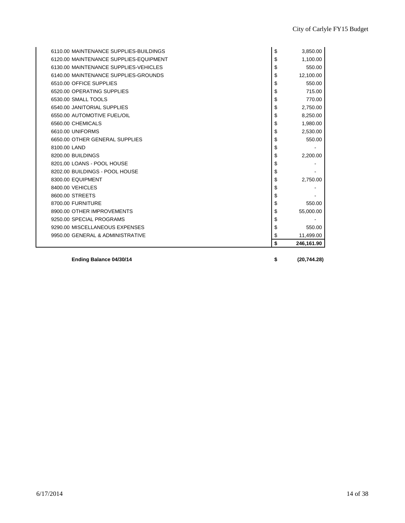| Ending Balance 04/30/14                                         | \$       | (20, 744.28)     |
|-----------------------------------------------------------------|----------|------------------|
|                                                                 | \$       | 246,161.90       |
| 9950.00 GENERAL & ADMINISTRATIVE                                | \$       | 11,499.00        |
| 9290.00 MISCELLANEOUS EXPENSES                                  | \$       | 550.00           |
| 9250.00 SPECIAL PROGRAMS                                        | \$       |                  |
| 8900.00 OTHER IMPROVEMENTS                                      | \$       | 55,000.00        |
| 8700.00 FURNITURE                                               | \$       | 550.00           |
| 8600.00 STREETS                                                 | \$       |                  |
| 8400.00 VEHICLES                                                | \$       |                  |
| 8300.00 EQUIPMENT                                               | \$       | 2,750.00         |
| 8202.00 BUILDINGS - POOL HOUSE                                  | \$       |                  |
| 8201.00 LOANS - POOL HOUSE                                      | \$       |                  |
| 8200.00 BUILDINGS                                               | \$       | 2,200.00         |
| 8100.00 LAND                                                    | \$       |                  |
| 6650.00 OTHER GENERAL SUPPLIES                                  | \$       | 550.00           |
| 6610.00 UNIFORMS                                                | \$       | 2,530.00         |
| 6560.00 CHEMICALS                                               | \$       | 1,980.00         |
| 6550.00 AUTOMOTIVE FUEL/OIL                                     | \$       | 8,250.00         |
| 6540.00 JANITORIAL SUPPLIES                                     | \$       | 2,750.00         |
| 6530.00 SMALL TOOLS                                             | \$       | 770.00           |
| 6520.00 OPERATING SUPPLIES                                      | \$<br>\$ | 550.00<br>715.00 |
| 6140.00 MAINTENANCE SUPPLIES-GROUNDS<br>6510.00 OFFICE SUPPLIES | \$       | 12,100.00        |
| 6130.00 MAINTENANCE SUPPLIES-VEHICLES                           | \$       | 550.00           |
| 6120.00 MAINTENANCE SUPPLIES-EQUIPMENT                          | \$       | 1,100.00         |
| 6110.00 MAINTENANCE SUPPLIES-BUILDINGS                          | \$       | 3,850.00         |
|                                                                 |          |                  |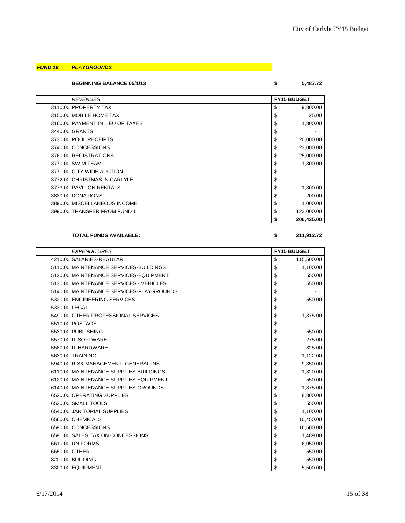#### *FUND 18 PLAYGROUNDS*

### **BEGINNING BALANCE 05/1/13 \$ 5,487.72**

| <b>REVENUES</b>                  | <b>FY15 BUDGET</b> |
|----------------------------------|--------------------|
| 3110.00 PROPERTY TAX             | \$<br>9,800.00     |
| 3150.00 MOBILE HOME TAX          | \$<br>25.00        |
| 3160.00 PAYMENT IN LIEU OF TAXES | \$<br>1,800.00     |
| 3440.00 GRANTS                   | \$                 |
| 3730.00 POOL RECEIPTS            | \$<br>20,000.00    |
| 3740.00 CONCESSIONS              | \$<br>23,000.00    |
| 3760.00 REGISTRATIONS            | \$<br>25,000.00    |
| 3770.00 SWIM TEAM                | \$<br>1,300.00     |
| 3771.00 CITY WIDE AUCTION        | \$                 |
| 3772.00 CHRISTMAS IN CARLYLE     | \$                 |
| 3773.00 PAVILION RENTALS         | \$<br>1,300.00     |
| 3830.00 DONATIONS                | \$<br>200.00       |
| 3890.00 MISCELLANEOUS INCOME     | \$<br>1,000.00     |
| 3990.00 TRANSFER FROM FUND 1     | \$<br>123,000.00   |
|                                  | 206,425.00<br>\$   |

#### **TOTAL FUNDS AVAILABLE: \$ 211,912.72**

| <b>EXPENDITURES</b>                      | <b>FY15 BUDGET</b> |  |
|------------------------------------------|--------------------|--|
| 4210.00 SALARIES-REGULAR                 | \$<br>115,500.00   |  |
| 5110.00 MAINTENANCE SERVICES-BUILDINGS   | \$<br>1,100.00     |  |
| 5120.00 MAINTENANCE SERVICES-EQUIPMENT   | \$<br>550.00       |  |
| 5130.00 MAINTENANCE SERVICES - VEHICLES  | \$<br>550.00       |  |
| 5140.00 MAINTENANCE SERVICES-PLAYGROUNDS | \$                 |  |
| 5320.00 ENGINEERING SERVICES             | \$<br>550.00       |  |
| 5330.00 LEGAL                            | \$                 |  |
| 5490.00 OTHER PROFESSIONAL SERVICES      | \$<br>1,375.00     |  |
| 5510.00 POSTAGE                          | \$                 |  |
| 5530.00 PUBLISHING                       | \$<br>550.00       |  |
| 5570.00 IT SOFTWARE                      | \$<br>275.00       |  |
| 5580.00 IT HARDWARE                      | \$<br>825.00       |  |
| 5630.00 TRAINING                         | \$<br>1,122.00     |  |
| 5940.00 RISK MANAGEMENT - GENERAL INS.   | \$<br>9,350.00     |  |
| 6110.00 MAINTENANCE SUPPLIES-BUILDINGS   | \$<br>1,320.00     |  |
| 6120.00 MAINTENANCE SUPPLIES-EQUIPMENT   | \$<br>550.00       |  |
| 6140.00 MAINTENANCE SUPPLIES-GROUNDS     | \$<br>1,375.00     |  |
| 6520.00 OPERATING SUPPLIES               | \$<br>8,800.00     |  |
| 6530.00 SMALL TOOLS                      | \$<br>550.00       |  |
| 6540.00 JANITORIAL SUPPLIES              | \$<br>1,100.00     |  |
| 6560.00 CHEMICALS                        | 10,450.00<br>\$    |  |
| 6590.00 CONCESSIONS                      | \$<br>16,500.00    |  |
| 6591.00 SALES TAX ON CONCESSIONS         | \$<br>1,489.00     |  |
| 6610.00 UNIFORMS                         | \$<br>6,050.00     |  |
| 6650.00 OTHER                            | \$<br>550.00       |  |
| 8200.00 BUILDING                         | \$<br>550.00       |  |
| 8300.00 EQUIPMENT                        | \$<br>5,500.00     |  |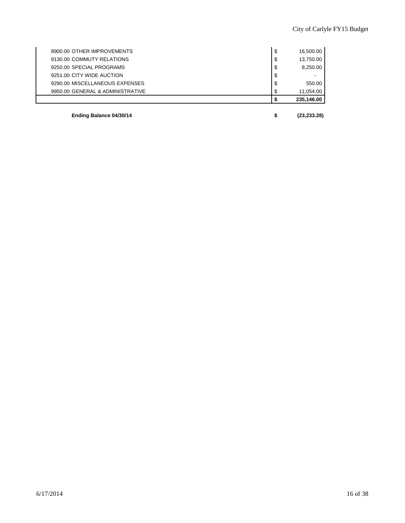|                                  | 235,146.00      |
|----------------------------------|-----------------|
| 9950.00 GENERAL & ADMINISTRATIVE | \$<br>11,054.00 |
| 9290.00 MISCELLANEOUS EXPENSES   | \$<br>550.00    |
| 9251.00 CITY WIDE AUCTION        | \$              |
| 9250.00 SPECIAL PROGRAMS         | \$<br>8,250.00  |
| 9130.00 COMMUTY RELATIONS        | \$<br>13,750.00 |
| 8900.00 OTHER IMPROVEMENTS       | \$<br>16,500.00 |
|                                  |                 |

**Ending Balance 04/30/14 \$ (23,233.28)**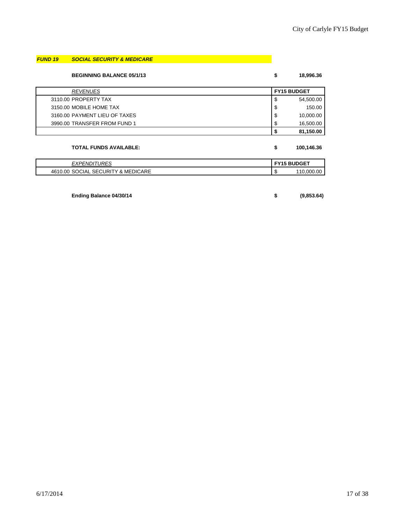# *FUND 19 SOCIAL SECURITY & MEDICARE*

#### **BEGINNING BALANCE 05/1/13 \$ 18,996.36**

| <b>REVENUES</b>               | <b>FY15 BUDGET</b> |           |
|-------------------------------|--------------------|-----------|
| 3110.00 PROPERTY TAX          | \$                 | 54,500.00 |
| 3150.00 MOBILE HOME TAX       | \$                 | 150.00    |
| 3160.00 PAYMENT LIEU OF TAXES | \$                 | 10,000.00 |
| 3990.00 TRANSFER FROM FUND 1  | \$                 | 16,500.00 |
|                               | S                  | 81,150.00 |

# **TOTAL FUNDS AVAILABLE: \$ 100,146.36**

| URES                                                     | <b>BUDGET</b>        |
|----------------------------------------------------------|----------------------|
| <b>FXPFNI</b>                                            | –v.                  |
| יווט.                                                    | w                    |
| <b>MEDICARE</b><br>4610.00<br>_ SECURITY & '<br>` SOCIAL | . റ<br>10.000<br>AU. |

#### **Ending Balance 04/30/14 \$ (9,853.64)**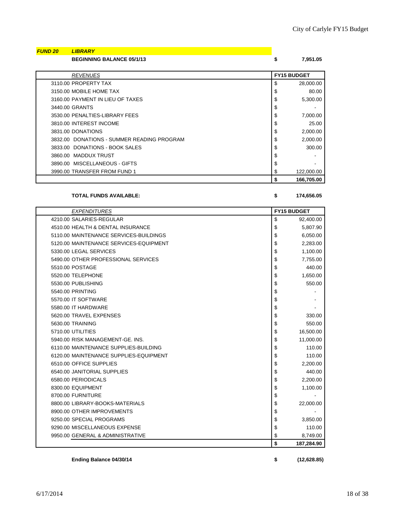| <b>FUND 20</b> | <b>LIBRARY</b>                             |                    |
|----------------|--------------------------------------------|--------------------|
|                | <b>BEGINNING BALANCE 05/1/13</b>           | \$<br>7,951.05     |
|                |                                            |                    |
|                | <b>REVENUES</b>                            | <b>FY15 BUDGET</b> |
|                | 3110.00 PROPERTY TAX                       | \$<br>28,000.00    |
|                | 3150.00 MOBILE HOME TAX                    | \$<br>80.00        |
|                | 3160.00 PAYMENT IN LIEU OF TAXES           | \$<br>5,300.00     |
|                | 3440.00 GRANTS                             | \$                 |
|                | 3530.00 PENALTIES-LIBRARY FEES             | \$<br>7,000.00     |
|                | 3810.00 INTEREST INCOME                    | \$<br>25.00        |
|                | 3831.00 DONATIONS                          | \$<br>2,000.00     |
|                | 3832.00 DONATIONS - SUMMER READING PROGRAM | \$<br>2,000.00     |
|                | 3833.00 DONATIONS - BOOK SALES             | \$<br>300.00       |
|                | 3860.00 MADDUX TRUST                       | \$                 |
|                | 3890.00 MISCELLANEOUS - GIFTS              | \$                 |
|                | 3990.00 TRANSFER FROM FUND 1               | \$<br>122,000.00   |
|                |                                            | \$<br>166,705.00   |

# **TOTAL FUNDS AVAILABLE: \$ 174,656.05**

| <b>EXPENDITURES</b>                    | <b>FY15 BUDGET</b> |
|----------------------------------------|--------------------|
| 4210.00 SALARIES-REGULAR               | \$<br>92,400.00    |
| 4510.00 HEALTH & DENTAL INSURANCE      | \$<br>5,807.90     |
| 5110.00 MAINTENANCE SERVICES-BUILDINGS | \$<br>6,050.00     |
| 5120.00 MAINTENANCE SERVICES-EQUIPMENT | \$<br>2,283.00     |
| 5330.00 LEGAL SERVICES                 | \$<br>1,100.00     |
| 5490.00 OTHER PROFESSIONAL SERVICES    | \$<br>7,755.00     |
| 5510.00 POSTAGE                        | \$<br>440.00       |
| 5520.00 TELEPHONE                      | \$<br>1,650.00     |
| 5530.00 PUBLISHING                     | \$<br>550.00       |
| 5540.00 PRINTING                       | \$                 |
| 5570.00 IT SOFTWARE                    | \$                 |
| 5580.00 IT HARDWARE                    | \$                 |
| 5620.00 TRAVEL EXPENSES                | \$<br>330.00       |
| 5630.00 TRAINING                       | \$<br>550.00       |
| 5710.00 UTILITIES                      | \$<br>16,500.00    |
| 5940.00 RISK MANAGEMENT-GE, INS.       | \$<br>11,000.00    |
| 6110.00 MAINTENANCE SUPPLIES-BUILDING  | \$<br>110.00       |
| 6120.00 MAINTENANCE SUPPLIES-EQUIPMENT | \$<br>110.00       |
| 6510.00 OFFICE SUPPLIES                | \$<br>2,200.00     |
| 6540.00 JANITORIAL SUPPLIES            | \$<br>440.00       |
| 6580.00 PERIODICALS                    | \$<br>2,200.00     |
| 8300.00 EQUIPMENT                      | \$<br>1,100.00     |
| 8700.00 FURNITURE                      | \$                 |
| 8800.00 LIBRARY-BOOKS-MATERIALS        | \$<br>22,000.00    |
| 8900.00 OTHER IMPROVEMENTS             | \$                 |
| 9250.00 SPECIAL PROGRAMS               | \$<br>3,850.00     |
| 9290.00 MISCELLANEOUS EXPENSE          | \$<br>110.00       |
| 9950.00 GENERAL & ADMINISTRATIVE       | \$<br>8,749.00     |
|                                        | \$<br>187,284.90   |

**Ending Balance 04/30/14 \$ (12,628.85)**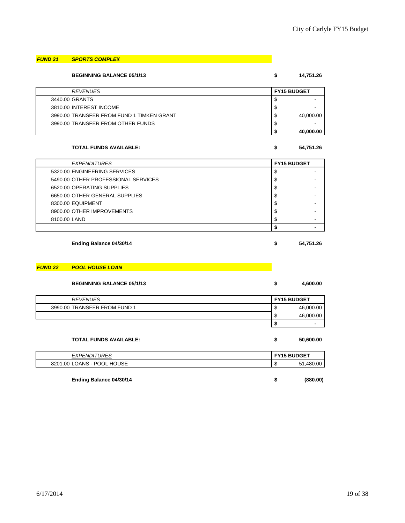# *FUND 21 SPORTS COMPLEX*

**BEGINNING BALANCE 05/1/13 \$ 14,751.26**

| <b>REVENUES</b>                           |    | <b>FY15 BUDGET</b> |
|-------------------------------------------|----|--------------------|
| 3440.00 GRANTS                            | S  |                    |
| 3810.00 INTEREST INCOME                   | \$ |                    |
| 3990.00 TRANSFER FROM FUND 1 TIMKEN GRANT | \$ | 40,000.00          |
| 3990.00 TRANSFER FROM OTHER FUNDS         | \$ |                    |
|                                           |    | 40,000.00          |

#### **TOTAL FUNDS AVAILABLE: \$ 54,751.26**

| <b>EXPENDITURES</b>                 | <b>FY15 BUDGET</b> |  |
|-------------------------------------|--------------------|--|
| 5320.00 ENGINEERING SERVICES        | \$                 |  |
| 5490.00 OTHER PROFESSIONAL SERVICES | \$                 |  |
| 6520.00 OPERATING SUPPLIES          | \$                 |  |
| 6650.00 OTHER GENERAL SUPPLIES      | \$                 |  |
| 8300.00 EQUIPMENT                   | \$                 |  |
| 8900.00 OTHER IMPROVEMENTS          | \$                 |  |
| 8100.00 LAND                        | \$                 |  |
|                                     |                    |  |
|                                     |                    |  |

**Ending Balance 04/30/14 \$ 54,751.26**

#### *FUND 22 POOL HOUSE LOAN*

| <b>BEGINNING BALANCE 05/1/13</b> | \$ | 4,600.00                 |
|----------------------------------|----|--------------------------|
| <b>REVENUES</b>                  |    | <b>FY15 BUDGET</b>       |
| 3990.00 TRANSFER FROM FUND 1     | S  | 46,000.00                |
|                                  | \$ | 46,000.00                |
|                                  |    | $\overline{\phantom{a}}$ |
|                                  |    |                          |

| <b>TOTAL FUNDS AVAILABLE:</b> | ъ                  | 50,600.00 |
|-------------------------------|--------------------|-----------|
| <b>EXPENDITURES</b>           | <b>FY15 BUDGET</b> |           |
| 8201.00 LOANS - POOL HOUSE    | Ф                  | 51.480.00 |
|                               |                    |           |

**Ending Balance 04/30/14 \$ (880.00)**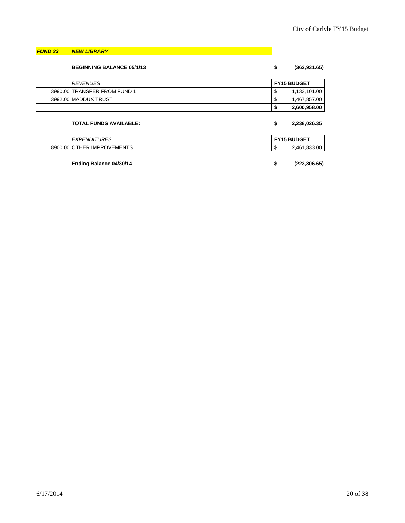### *FUND 23 NEW LIBRARY*

| <b>BEGINNING BALANCE 05/1/13</b> | (362, 931.65)<br>\$ |
|----------------------------------|---------------------|
| <b>REVENUES</b>                  | <b>FY15 BUDGET</b>  |
| 3990.00 TRANSFER FROM FUND 1     | 1,133,101.00<br>◡   |
| 3992.00 MADDUX TRUST             | 1,467,857.00        |
|                                  | 2,600,958.00        |
| <b>TOTAL FUNDS AVAILABLE:</b>    | 2,238,026.35        |

| IDFC<br>"<br>יש<br>⊢xı<br>'N         | <b>BUDGET</b><br><b>CV4.</b> |                           |
|--------------------------------------|------------------------------|---------------------------|
| IMPROVEMENTS<br>. HER<br>8900<br>.00 | AU.                          | .00<br>461<br>ī.833<br>᠇୰ |

**Ending Balance 04/30/14 \$ (223,806.65)**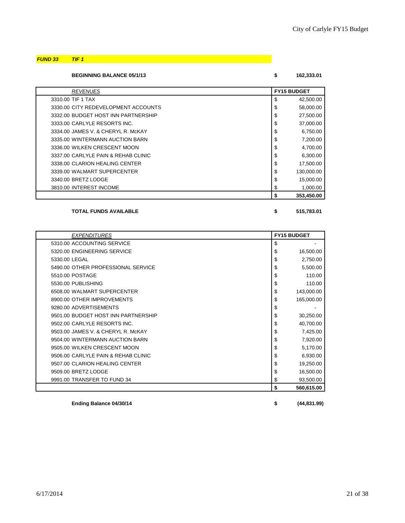# *FUND 33 TIF 1*

**BEGINNING BALANCE 05/1/13 \$ 162,333.01**

| <b>REVENUES</b>                     | <b>FY15 BUDGET</b> |  |
|-------------------------------------|--------------------|--|
| 3310.00 TIF 1 TAX                   | \$<br>42,500.00    |  |
| 3330.00 CITY REDEVELOPMENT ACCOUNTS | \$<br>58,000.00    |  |
| 3332.00 BUDGET HOST INN PARTNERSHIP | \$<br>27,500.00    |  |
| 3333.00 CARLYLE RESORTS INC.        | \$<br>37,000.00    |  |
| 3334.00 JAMES V. & CHERYL R. McKAY  | \$<br>6,750.00     |  |
| 3335.00 WINTERMANN AUCTION BARN     | \$<br>7,200.00     |  |
| 3336.00 WILKEN CRESCENT MOON        | \$<br>4,700.00     |  |
| 3337.00 CARLYLE PAIN & REHAB CLINIC | \$<br>6,300.00     |  |
| 3338.00 CLARION HEALING CENTER      | \$<br>17,500.00    |  |
| 3339.00 WALMART SUPERCENTER         | \$<br>130,000.00   |  |
| 3340.00 BRETZ LODGE                 | \$<br>15,000.00    |  |
| 3810.00 INTEREST INCOME             | \$<br>1,000.00     |  |
|                                     | \$<br>353.450.00   |  |

#### **TOTAL FUNDS AVAILABLE \$ 515,783.01**

| <b>EXPENDITURES</b>                 | <b>FY15 BUDGET</b> |            |
|-------------------------------------|--------------------|------------|
| 5310.00 ACCOUNTING SERVICE          | \$                 |            |
| 5320.00 ENGINEERING SERVICE         | \$                 | 16,500.00  |
| 5330.00 LEGAL                       | \$                 | 2,750.00   |
| 5490.00 OTHER PROFESSIONAL SERVICE  | \$                 | 5,500.00   |
| 5510.00 POSTAGE                     | \$                 | 110.00     |
| 5530.00 PUBLISHING                  | \$                 | 110.00     |
| 6508.00 WALMART SUPERCENTER         | \$                 | 143,000.00 |
| 8900.00 OTHER IMPROVEMENTS          | \$                 | 165,000.00 |
| 9280.00 ADVERTISEMENTS              | \$                 |            |
| 9501.00 BUDGET HOST INN PARTNERSHIP | \$                 | 30,250.00  |
| 9502.00 CARLYLE RESORTS INC.        | \$                 | 40,700.00  |
| 9503.00 JAMES V. & CHERYL R. McKAY  | \$                 | 7,425.00   |
| 9504.00 WINTERMANN AUCTION BARN     | \$                 | 7,920.00   |
| 9505.00 WILKEN CRESCENT MOON        | \$                 | 5,170.00   |
| 9506.00 CARLYLE PAIN & REHAB CLINIC | \$                 | 6,930.00   |
| 9507.00 CLARION HEALING CENTER      | \$                 | 19,250.00  |
| 9509.00 BRETZ LODGE                 | \$                 | 16,500.00  |
| 9991.00 TRANSFER TO FUND 34         | \$                 | 93,500.00  |
|                                     | \$                 | 560,615.00 |

**Ending Balance 04/30/14 \$ (44,831.99)**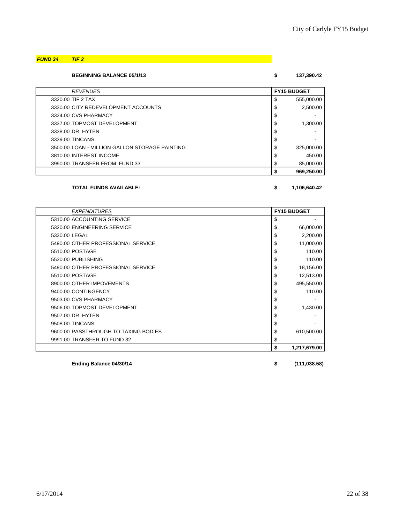# *FUND 34 TIF 2*

**BEGINNING BALANCE 05/1/13 \$ 137,390.42**

| <b>REVENUES</b>                                | <b>FY15 BUDGET</b> |            |
|------------------------------------------------|--------------------|------------|
| 3320.00 TIF 2 TAX                              | \$                 | 555,000.00 |
| 3330.00 CITY REDEVELOPMENT ACCOUNTS            | \$                 | 2,500.00   |
| 3334.00 CVS PHARMACY                           | \$                 |            |
| 3337.00 TOPMOST DEVELOPMENT                    | \$                 | 1.300.00   |
| 3338.00 DR. HYTEN                              | \$                 |            |
| 3339.00 TINCANS                                | \$                 |            |
| 3500.00 LOAN - MILLION GALLON STORAGE PAINTING | \$                 | 325,000.00 |
| 3810.00 INTEREST INCOME                        | \$                 | 450.00     |
| 3990.00 TRANSFER FROM FUND 33                  | \$                 | 85,000.00  |
|                                                |                    | 969.250.00 |

#### **TOTAL FUNDS AVAILABLE: \$ 1,106,640.42**

| <b>EXPENDITURES</b>                  |    | <b>FY15 BUDGET</b> |  |
|--------------------------------------|----|--------------------|--|
| 5310.00 ACCOUNTING SERVICE           | \$ |                    |  |
| 5320.00 ENGINEERING SERVICE          | \$ | 66,000.00          |  |
| 5330.00 LEGAL                        | \$ | 2,200.00           |  |
| 5490.00 OTHER PROFESSIONAL SERVICE   | \$ | 11,000.00          |  |
| 5510.00 POSTAGE                      | \$ | 110.00             |  |
| 5530.00 PUBLISHING                   | \$ | 110.00             |  |
| 5490.00 OTHER PROFESSIONAL SERVICE   | \$ | 18,156.00          |  |
| 5510.00 POSTAGE                      | \$ | 12,513.00          |  |
| 8900.00 OTHER IMPOVEMENTS            | \$ | 495,550.00         |  |
| 9400.00 CONTINGENCY                  |    | 110.00             |  |
| 9503.00 CVS PHARMACY                 | \$ |                    |  |
| 9506.00 TOPMOST DEVELOPMENT          | S  | 1,430.00           |  |
| 9507.00 DR. HYTEN                    |    |                    |  |
| 9508.00 TINCANS                      | \$ |                    |  |
| 9600.00 PASSTHROUGH TO TAXING BODIES | \$ | 610,500.00         |  |
| 9991.00 TRANSFER TO FUND 32          | \$ |                    |  |
|                                      | \$ | 1,217,679.00       |  |

**Ending Balance 04/30/14 \$ (111,038.58)**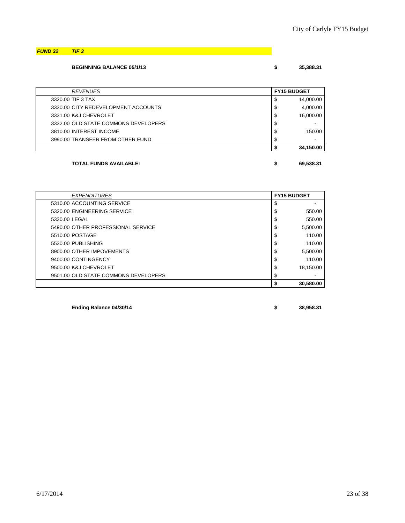*FUND 32 TIF 3*

### **BEGINNING BALANCE 05/1/13 \$ 35,388.31**

| 35,38 |
|-------|
|       |

| <b>REVENUES</b>                      | <b>FY15 BUDGET</b> |  |
|--------------------------------------|--------------------|--|
| 3320.00 TIF 3 TAX                    | \$<br>14,000.00    |  |
| 3330.00 CITY REDEVELOPMENT ACCOUNTS  | \$<br>4,000.00     |  |
| 3331.00 K&J CHEVROLET                | \$<br>16,000.00    |  |
| 3332.00 OLD STATE COMMONS DEVELOPERS | \$                 |  |
| 3810.00 INTEREST INCOME              | \$<br>150.00       |  |
| 3990.00 TRANSFER FROM OTHER FUND     | \$                 |  |
|                                      | 34,150.00          |  |

# **TOTAL FUNDS AVAILABLE: \$ 69,538.31**

| <b>EXPENDITURES</b>                  | <b>FY15 BUDGET</b> |           |
|--------------------------------------|--------------------|-----------|
| 5310.00 ACCOUNTING SERVICE           | \$                 |           |
| 5320.00 ENGINEERING SERVICE          | \$                 | 550.00    |
| 5330.00 LEGAL                        | \$                 | 550.00    |
| 5490.00 OTHER PROFESSIONAL SERVICE   | \$                 | 5,500.00  |
| 5510.00 POSTAGE                      | \$                 | 110.00    |
| 5530.00 PUBLISHING                   | \$                 | 110.00    |
| 8900.00 OTHER IMPOVEMENTS            | \$                 | 5,500.00  |
| 9400.00 CONTINGENCY                  | \$                 | 110.00    |
| 9500.00 K&J CHEVROLET                | \$                 | 18,150.00 |
| 9501.00 OLD STATE COMMONS DEVELOPERS | \$                 |           |
|                                      |                    | 30.580.00 |

**Ending Balance 04/30/14 \$ 38,958.31**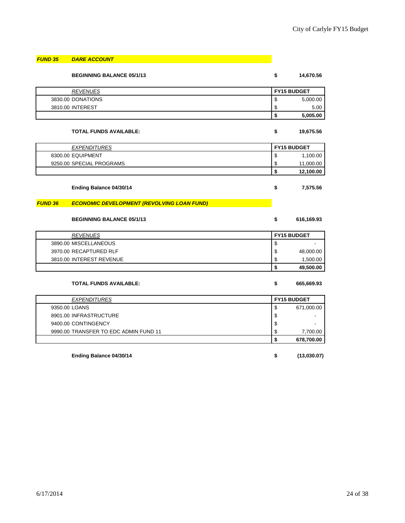| <b>FUND 35</b> | <b>DARE ACCOUNT</b>                               |                    |
|----------------|---------------------------------------------------|--------------------|
|                | <b>BEGINNING BALANCE 05/1/13</b>                  | \$<br>14,670.56    |
|                | <b>REVENUES</b>                                   | <b>FY15 BUDGET</b> |
|                | 3830.00 DONATIONS                                 | \$<br>5,000.00     |
|                | 3810.00 INTEREST                                  | \$<br>5.00         |
|                |                                                   | \$<br>5,005.00     |
|                | <b>TOTAL FUNDS AVAILABLE:</b>                     | \$<br>19,675.56    |
|                | <b>EXPENDITURES</b>                               | <b>FY15 BUDGET</b> |
|                | 8300.00 EQUIPMENT                                 | \$<br>1,100.00     |
|                | 9250.00 SPECIAL PROGRAMS                          | \$<br>11,000.00    |
|                |                                                   | \$<br>12,100.00    |
|                | Ending Balance 04/30/14                           | \$<br>7,575.56     |
| <b>FUND 36</b> | <b>ECONOMIC DEVELOPMENT (REVOLVING LOAN FUND)</b> |                    |
|                | <b>BEGINNING BALANCE 05/1/13</b>                  | \$<br>616,169.93   |
|                | <b>REVENUES</b>                                   | <b>FY15 BUDGET</b> |
|                | 3890.00 MISCELLANEOUS                             | \$                 |
|                | 3970.00 RECAPTURED RLF                            | \$<br>48,000.00    |
|                | 3810.00 INTEREST REVENUE                          | \$<br>1,500.00     |
|                |                                                   | \$<br>49,500.00    |
|                | <b>TOTAL FUNDS AVAILABLE:</b>                     | \$<br>665,669.93   |
|                | <b>EXPENDITURES</b>                               | <b>FY15 BUDGET</b> |
| 9350.00 LOANS  |                                                   | \$<br>671,000.00   |
|                | 8901.00 INFRASTRUCTURE                            | \$                 |
|                | 9400.00 CONTINGENCY                               | \$                 |
|                | 9990.00 TRANSFER TO EDC ADMIN FUND 11             | \$<br>7,700.00     |
|                |                                                   | \$<br>678,700.00   |
|                | Ending Balance 04/30/14                           | \$<br>(13,030.07)  |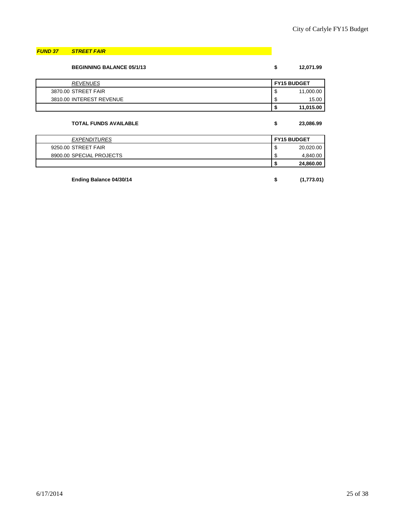### *FUND 37 STREET FAIR*

| <b>BEGINNING BALANCE 05/1/13</b> | \$<br>12,071.99    |  |
|----------------------------------|--------------------|--|
| <b>REVENUES</b>                  | <b>FY15 BUDGET</b> |  |
| 3870.00 STREET FAIR              | \$<br>11,000.00    |  |
| 3810.00 INTEREST REVENUE         | \$<br>15.00        |  |
|                                  | \$<br>11,015.00    |  |
| <b>TOTAL FUNDS AVAILABLE</b>     | \$<br>23,086.99    |  |
| <b>EXPENDITURES</b>              | <b>FY15 BUDGET</b> |  |
| 9250.00 STREET FAIR              | \$<br>20,020.00    |  |
| 8900.00 SPECIAL PROJECTS         | \$<br>4,840.00     |  |
|                                  | 24,860.00          |  |

**Ending Balance 04/30/14 \$ (1,773.01)**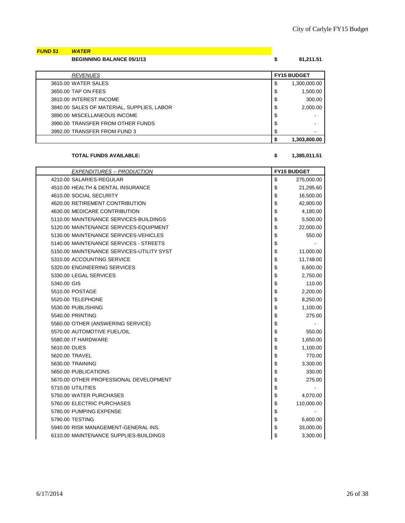| <b>FUND 51</b> | <b>WATER</b>                     |           |
|----------------|----------------------------------|-----------|
|                | <b>BEGINNING BALANCE 05/1/13</b> | 81,211.51 |
|                |                                  |           |

| <b>REVENUES</b>                            |    | <b>FY15 BUDGET</b>       |
|--------------------------------------------|----|--------------------------|
| 3610.00 WATER SALES                        | \$ | 1,300,000.00             |
| 3650.00 TAP ON FEES                        | \$ | 1,500.00                 |
| 3810.00 INTEREST INCOME                    | \$ | 300.00                   |
| 3840.00 SALES OF MATERIAL, SUPPLIES, LABOR | \$ | 2,000.00                 |
| 3890.00 MISCELLANEOUS INCOME               | \$ |                          |
| 3990.00 TRANSFER FROM OTHER FUNDS          | \$ |                          |
| 3992.00 TRANSFER FROM FUND 3               | S  | $\overline{\phantom{a}}$ |
|                                            |    | 1,303,800.00             |

### **TOTAL FUNDS AVAILABLE: \$ 1,385,011.51**

| <b>EXPENDITURES -- PRODUCTION</b>         | <b>FY15 BUDGET</b> |            |
|-------------------------------------------|--------------------|------------|
| 4210.00 SALARIES-REGULAR                  | \$                 | 275,000.00 |
| 4510.00 HEALTH & DENTAL INSURANCE         | \$                 | 21,295.60  |
| 4610.00 SOCIAL SECURITY                   | \$                 | 16,500.00  |
| 4620.00 RETIREMENT CONTRIBUTION           | \$                 | 42,900.00  |
| 4630.00 MEDICARE CONTRIBUTION             | \$                 | 4,180.00   |
| 5110.00 MAINTENANCE SERVICES-BUILDINGS    | \$                 | 5,500.00   |
| 5120.00 MAINTENANCE SERVICES-EQUIPMENT    | \$                 | 22,000.00  |
| 5130.00 MAINTENANCE SERVICES-VEHICLES     | \$                 | 550.00     |
| 5140.00 MAINTENANCE SERVICES - STREETS    | \$                 |            |
| 5150.00 MAINTENANCE SERVICES-UTILITY SYST | \$                 | 11,000.00  |
| 5310.00 ACCOUNTING SERVICE                | \$                 | 11,748.00  |
| 5320.00 ENGINEERING SERVICES              | \$                 | 6,600.00   |
| 5330.00 LEGAL SERVICES                    | \$                 | 2,750.00   |
| 5340.00 GIS                               | \$                 | 110.00     |
| 5510.00 POSTAGE                           | \$                 | 2,200.00   |
| 5520.00 TELEPHONE                         | \$                 | 8,250.00   |
| 5530.00 PUBLISHING                        | \$                 | 1,100.00   |
| 5540.00 PRINTING                          | \$                 | 275.00     |
| 5560.00 OTHER (ANSWERING SERVICE)         | \$                 |            |
| 5570.00 AUTOMOTIVE FUEL/OIL               | \$                 | 550.00     |
| 5580.00 IT HARDWARE                       | \$                 | 1,650.00   |
| 5610.00 DUES                              | \$                 | 1,100.00   |
| 5620.00 TRAVEL                            | \$                 | 770.00     |
| 5630.00 TRAINING                          | \$                 | 3,300.00   |
| 5650.00 PUBLICATIONS                      | \$                 | 330.00     |
| 5670.00 OTHER PROFESSIONAL DEVELOPMENT    | \$                 | 275.00     |
| 5710.00 UTILITIES                         | \$                 |            |
| 5750.00 WATER PURCHASES                   | \$                 | 4,070.00   |
| 5760.00 ELECTRIC PURCHASES                | \$                 | 110,000.00 |
| 5780.00 PUMPING EXPENSE                   | \$                 |            |
| 5790.00 TESTING                           | \$                 | 6,600.00   |
| 5940.00 RISK MANAGEMENT-GENERAL INS.      | \$                 | 33,000.00  |
| 6110.00 MAINTENANCE SUPPLIES-BUILDINGS    | \$                 | 3,300.00   |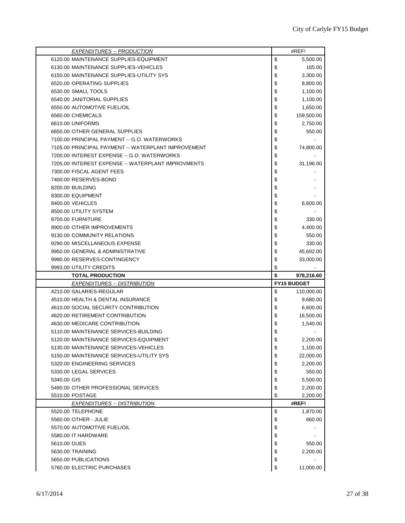| <b>EXPENDITURES -- PRODUCTION</b>                                                 |          | #REF!              |
|-----------------------------------------------------------------------------------|----------|--------------------|
| 6120.00 MAINTENANCE SUPPLIES-EQUIPMENT                                            | \$       | 5,500.00           |
| 6130.00 MAINTENANCE SUPPLIES-VEHICLES                                             | \$       | 165.00             |
| 6150.00 MAINTENANCE SUPPLIES-UTILITY SYS                                          | \$       | 3,300.00           |
| 6520.00 OPERATING SUPPLIES                                                        | \$       | 8,800.00           |
| 6530.00 SMALL TOOLS                                                               | \$       | 1,100.00           |
| 6540.00 JANITORIAL SUPPLIES                                                       | \$       | 1,100.00           |
| 6550.00 AUTOMOTIVE FUEL/OIL                                                       | \$       | 1,650.00           |
| 6560.00 CHEMICALS                                                                 | \$       | 159,500.00         |
| 6610.00 UNIFORMS                                                                  | \$       | 2,750.00           |
| 6650.00 OTHER GENERAL SUPPLIES                                                    | \$       | 550.00             |
| 7100.00 PRINCIPAL PAYMENT -- G.O. WATERWORKS                                      | \$       |                    |
| 7105.00 PRINCIPAL PAYMENT -- WATERPLANT IMPROVEMENT                               | \$       | 74,800.00          |
| 7200.00 INTEREST EXPENSE -- G.O. WATERWORKS                                       | \$       |                    |
| 7205.00 INTEREST EXPENSE -- WATERPLANT IMPROVMENTS                                | \$       | 31,196.00          |
| 7300.00 FISCAL AGENT FEES                                                         | \$       |                    |
| 7400.00 RESERVES-BOND                                                             | \$       |                    |
| 8200.00 BUILDING                                                                  | \$       |                    |
| 8300.00 EQUIPMENT                                                                 | \$       |                    |
| 8400.00 VEHICLES                                                                  | \$       | 6,600.00           |
| 8500.00 UTILITY SYSTEM                                                            | \$       |                    |
| 8700.00 FURNITURE                                                                 | \$       | 330.00             |
| 8900.00 OTHER IMPROVEMENTS                                                        | \$       | 4,400.00           |
| 9130.00 COMMUNITY RELATIONS                                                       | \$       | 550.00             |
| 9290.00 MISCELLANEOUS EXPENSE                                                     | \$       | 330.00             |
| 9950.00 GENERAL & ADMINISTRATIVE                                                  | \$       | 45,692.00          |
|                                                                                   |          |                    |
|                                                                                   |          |                    |
| 9990.00 RESERVES-CONTINGENCY                                                      | \$       | 33,000.00          |
| 9993.00 UTILITY CREDITS                                                           | \$       |                    |
| <b>TOTAL PRODUCTION</b>                                                           | \$       | 978,216.60         |
| <b>EXPENDITURES -- DISTRIBUTION</b>                                               |          | <b>FY15 BUDGET</b> |
| 4210.00 SALARIES-REGULAR<br>4510.00 HEALTH & DENTAL INSURANCE                     | \$       | 110,000.00         |
|                                                                                   | \$       | 9,680.00           |
| 4610.00 SOCIAL SECURITY CONTRIBUTION                                              | \$       | 6,600.00           |
| 4620.00 RETIREMENT CONTRIBUTION                                                   | \$       | 16,500.00          |
| 4630.00 MEDICARE CONTRIBUTION                                                     | \$       | 1,540.00           |
| 5110.00 MAINTENANCE SERVICES-BUILDING<br>5120.00 MAINTENANCE SERVICES-EQUIPMENT   | \$       |                    |
|                                                                                   | \$       | 2,200.00           |
| 5130.00 MAINTENANCE SERVICES-VEHICLES<br>5150.00 MAINTENANCE SERVICES-UTILITY SYS | \$       | 1,100.00           |
|                                                                                   | \$       | 22,000.00          |
| 5320.00 ENGINEERING SERVICES                                                      | \$       | 2,200.00           |
| 5330.00 LEGAL SERVICES                                                            | \$       | 550.00             |
| 5340.00 GIS                                                                       | \$       | 5,500.00           |
| 5490.00 OTHER PROFESSIONAL SERVICES                                               | \$       | 2,200.00           |
| 5510.00 POSTAGE                                                                   | \$       | 2,200.00<br>#REF!  |
| <b>EXPENDITURES -- DISTRIBUTION</b><br>5520.00 TELEPHONE                          |          | 1,870.00           |
| 5560.00 OTHER - JULIE                                                             | \$       | 660.00             |
| 5570.00 AUTOMOTIVE FUEL/OIL                                                       | \$       |                    |
| 5580.00 IT HARDWARE                                                               | \$       |                    |
| 5610.00 DUES                                                                      | \$       |                    |
| 5630.00 TRAINING                                                                  | \$       | 550.00<br>2,200.00 |
| 5650.00 PUBLICATIONS                                                              | \$<br>\$ |                    |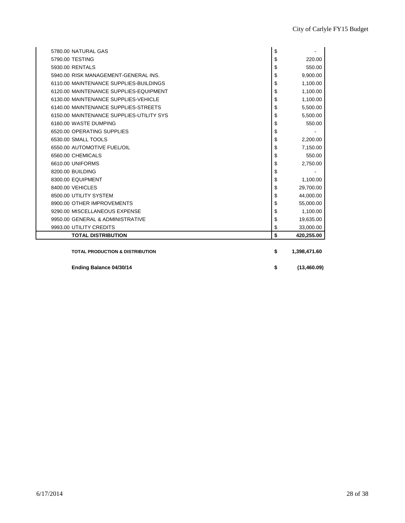| <b>TOTAL PRODUCTION &amp; DISTRIBUTION</b> | \$<br>1,398,471.60 |
|--------------------------------------------|--------------------|
|                                            |                    |
| <b>TOTAL DISTRIBUTION</b>                  | \$<br>420,255.00   |
| 9993.00 UTILITY CREDITS                    | \$<br>33,000.00    |
| 9950.00 GENERAL & ADMINISTRATIVE           | \$<br>19,635.00    |
| 9290.00 MISCELLANEOUS EXPENSE              | \$<br>1,100.00     |
| 8900.00 OTHER IMPROVEMENTS                 | \$<br>55,000.00    |
| 8500.00 UTILITY SYSTEM                     | \$<br>44,000.00    |
| 8400.00 VEHICLES                           | \$<br>29,700.00    |
| 8300.00 EQUIPMENT                          | \$<br>1,100.00     |
| 8200.00 BUILDING                           | \$                 |
| 6610.00 UNIFORMS                           | \$<br>2,750.00     |
| 6560.00 CHEMICALS                          | \$<br>550.00       |
| 6550.00 AUTOMOTIVE FUEL/OIL                | \$<br>7,150.00     |
| 6530.00 SMALL TOOLS                        | \$<br>2,200.00     |
| 6520.00 OPERATING SUPPLIES                 | \$                 |
| 6160.00 WASTE DUMPING                      | \$<br>550.00       |
| 6150.00 MAINTENANCE SUPPLIES-UTILITY SYS   | \$<br>5,500.00     |
| 6140.00 MAINTENANCE SUPPLIES-STREETS       | \$<br>5,500.00     |
| 6130.00 MAINTENANCE SUPPLIES-VEHICLE       | \$<br>1,100.00     |
| 6120.00 MAINTENANCE SUPPLIES-EQUIPMENT     | \$<br>1,100.00     |
| 6110.00 MAINTENANCE SUPPLIES-BUILDINGS     | \$<br>1,100.00     |
| 5940.00 RISK MANAGEMENT-GENERAL INS.       | \$<br>9,900.00     |
| 5930.00 RENTALS                            | \$<br>550.00       |
| 5790.00 TESTING                            | \$<br>220.00       |
| 5780.00 NATURAL GAS                        | \$                 |

**Ending Balance 04/30/14 \$ (13,460.09)**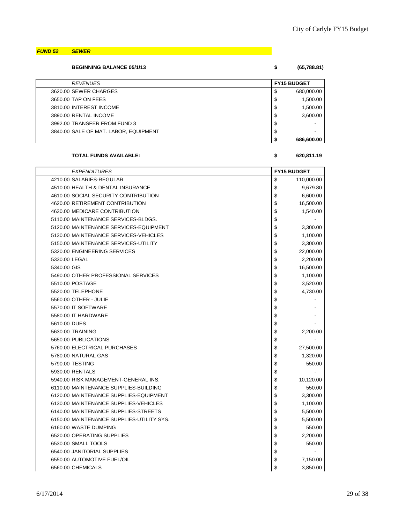*FUND 52 SEWER*

| <b>BEGINNING BALANCE 05/1/13</b> | (65,788.81) |
|----------------------------------|-------------|
|                                  |             |

| <b>REVENUES</b>                       | <b>FY15 BUDGET</b> |            |
|---------------------------------------|--------------------|------------|
| 3620.00 SEWER CHARGES                 | -S                 | 680,000.00 |
| 3650.00 TAP ON FEES                   | \$                 | 1,500.00   |
| 3810.00 INTEREST INCOME               | \$                 | 1,500.00   |
| 3890.00 RENTAL INCOME                 | \$                 | 3,600.00   |
| 3992.00 TRANSFER FROM FUND 3          | \$                 | -          |
| 3840.00 SALE OF MAT. LABOR, EQUIPMENT | S                  |            |
|                                       |                    | 686,600.00 |

#### **TOTAL FUNDS AVAILABLE: \$ 620,811.19**

| <b>EXPENDITURES</b>                       | <b>FY15 BUDGET</b> |            |
|-------------------------------------------|--------------------|------------|
| 4210.00 SALARIES-REGULAR                  | \$                 | 110,000.00 |
| 4510.00 HEALTH & DENTAL INSURANCE         | \$                 | 9,679.80   |
| 4610.00 SOCIAL SECURITY CONTRIBUTION      | \$                 | 6,600.00   |
| 4620.00 RETIREMENT CONTRIBUTION           | \$                 | 16,500.00  |
| 4630.00 MEDICARE CONTRIBUTION             | \$                 | 1,540.00   |
| 5110.00 MAINTENANCE SERVICES-BLDGS.       | \$                 |            |
| 5120.00 MAINTENANCE SERVICES-EQUIPMENT    | \$                 | 3,300.00   |
| 5130.00 MAINTENANCE SERVICES-VEHICLES     | \$                 | 1,100.00   |
| 5150.00 MAINTENANCE SERVICES-UTILITY      | \$                 | 3,300.00   |
| 5320.00 ENGINEERING SERVICES              | \$                 | 22,000.00  |
| 5330.00 LEGAL                             | \$                 | 2,200.00   |
| 5340.00 GIS                               | \$                 | 16,500.00  |
| 5490.00 OTHER PROFESSIONAL SERVICES       | \$                 | 1,100.00   |
| 5510.00 POSTAGE                           | \$                 | 3,520.00   |
| 5520.00 TELEPHONE                         | \$                 | 4,730.00   |
| 5560.00 OTHER - JULIE                     | \$                 |            |
| 5570.00 IT SOFTWARE                       | \$                 |            |
| 5580.00 IT HARDWARE                       | \$                 |            |
| 5610.00 DUES                              | \$                 |            |
| 5630.00 TRAINING                          | \$                 | 2,200.00   |
| 5650.00 PUBLICATIONS                      | \$                 |            |
| 5760.00 ELECTRICAL PURCHASES              | \$                 | 27,500.00  |
| 5780.00 NATURAL GAS                       | \$                 | 1,320.00   |
| 5790.00 TESTING                           | \$                 | 550.00     |
| 5930.00 RENTALS                           | \$                 |            |
| 5940.00 RISK MANAGEMENT-GENERAL INS.      | \$                 | 10,120.00  |
| 6110.00 MAINTENANCE SUPPLIES-BUILDING     | \$                 | 550.00     |
| 6120.00 MAINTENANCE SUPPLIES-EQUIPMENT    | \$                 | 3,300.00   |
| 6130.00 MAINTENANCE SUPPLIES-VEHICLES     | \$                 | 1,100.00   |
| 6140.00 MAINTENANCE SUPPLIES-STREETS      | \$                 | 5,500.00   |
| 6150.00 MAINTENANCE SUPPLIES-UTILITY SYS. | \$                 | 5,500.00   |
| 6160.00 WASTE DUMPING                     | \$                 | 550.00     |
| 6520.00 OPERATING SUPPLIES                | \$                 | 2,200.00   |
| 6530.00 SMALL TOOLS                       | \$                 | 550.00     |
| 6540.00 JANITORIAL SUPPLIES               | \$                 |            |
| 6550.00 AUTOMOTIVE FUEL/OIL               | \$                 | 7,150.00   |
| 6560.00 CHEMICALS                         | \$                 | 3,850.00   |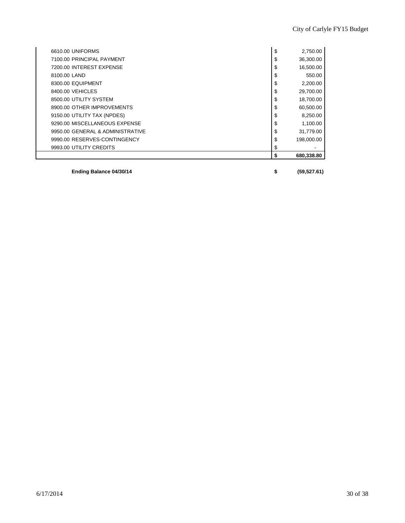|                                  | \$<br>680,338.80 |
|----------------------------------|------------------|
| 9993.00 UTILITY CREDITS          | \$               |
| 9990.00 RESERVES-CONTINGENCY     | \$<br>198,000.00 |
| 9950.00 GENERAL & ADMINISTRATIVE | \$<br>31,779.00  |
| 9290.00 MISCELLANEOUS EXPENSE    | \$<br>1,100.00   |
| 9150.00 UTILITY TAX (NPDES)      | \$<br>8,250.00   |
| 8900.00 OTHER IMPROVEMENTS       | \$<br>60,500.00  |
| 8500.00 UTILITY SYSTEM           | \$<br>18,700.00  |
| 8400.00 VEHICLES                 | \$<br>29,700.00  |
| 8300.00 EQUIPMENT                | \$<br>2,200.00   |
| 8100.00 LAND                     | \$<br>550.00     |
| 7200.00 INTEREST EXPENSE         | \$<br>16,500.00  |
| 7100.00 PRINCIPAL PAYMENT        | \$<br>36,300.00  |
| 6610.00 UNIFORMS                 | \$<br>2,750.00   |

**Ending Balance 04/30/14 \$ (59,527.61)**

 $\mathsf{I}$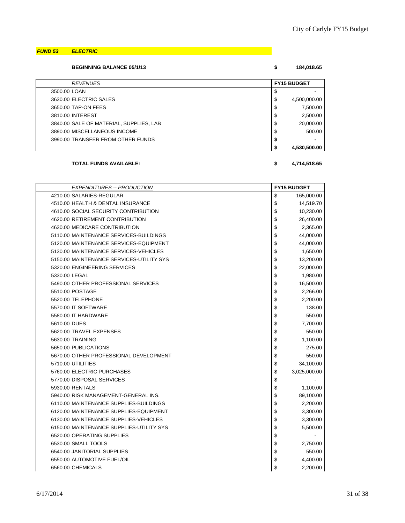### *FUND 53 ELECTRIC*

### **BEGINNING BALANCE 05/1/13 \$ 184,018.65**

| <b>REVENUES</b>                         |    | <b>FY15 BUDGET</b> |  |
|-----------------------------------------|----|--------------------|--|
| 3500.00 LOAN                            | Φ  |                    |  |
| 3630.00 ELECTRIC SALES                  | \$ | 4,500,000.00       |  |
| 3650.00 TAP-ON FEES                     | \$ | 7,500.00           |  |
| 3810.00 INTEREST                        | \$ | 2,500.00           |  |
| 3840.00 SALE OF MATERIAL, SUPPLIES, LAB | \$ | 20,000.00          |  |
| 3890.00 MISCELLANEOUS INCOME            | \$ | 500.00             |  |
| 3990.00 TRANSFER FROM OTHER FUNDS       |    |                    |  |
|                                         |    | 4,530,500.00       |  |

### **TOTAL FUNDS AVAILABLE: \$ 4,714,518.65**

| <b>EXPENDITURES -- PRODUCTION</b>        | <b>FY15 BUDGET</b> |
|------------------------------------------|--------------------|
| 4210.00 SALARIES-REGULAR                 | \$<br>165,000.00   |
| 4510.00 HEALTH & DENTAL INSURANCE        | \$<br>14,519.70    |
| 4610.00 SOCIAL SECURITY CONTRIBUTION     | \$<br>10,230.00    |
| 4620.00 RETIREMENT CONTRIBUTION          | \$<br>26,400.00    |
| 4630.00 MEDICARE CONTRIBUTION            | \$<br>2,365.00     |
| 5110.00 MAINTENANCE SERVICES-BUILDINGS   | \$<br>44,000.00    |
| 5120.00 MAINTENANCE SERVICES-EQUIPMENT   | \$<br>44,000.00    |
| 5130.00 MAINTENANCE SERVICES-VEHICLES    | \$<br>1,650.00     |
| 5150.00 MAINTENANCE SERVICES-UTILITY SYS | \$<br>13,200.00    |
| 5320.00 ENGINEERING SERVICES             | \$<br>22,000.00    |
| 5330.00 LEGAL                            | \$<br>1,980.00     |
| 5490.00 OTHER PROFESSIONAL SERVICES      | \$<br>16,500.00    |
| 5510.00 POSTAGE                          | \$<br>2,266.00     |
| 5520.00 TELEPHONE                        | \$<br>2,200.00     |
| 5570.00 IT SOFTWARE                      | \$<br>138.00       |
| 5580.00 IT HARDWARE                      | \$<br>550.00       |
| 5610.00 DUES                             | \$<br>7,700.00     |
| 5620.00 TRAVEL EXPENSES                  | \$<br>550.00       |
| 5630.00 TRAINING                         | \$<br>1,100.00     |
| 5650.00 PUBLICATIONS                     | \$<br>275.00       |
| 5670.00 OTHER PROFESSIONAL DEVELOPMENT   | \$<br>550.00       |
| 5710.00 UTILITIES                        | \$<br>34,100.00    |
| 5760.00 ELECTRIC PURCHASES               | \$<br>3,025,000.00 |
| 5770.00 DISPOSAL SERVICES                | \$                 |
| 5930.00 RENTALS                          | \$<br>1,100.00     |
| 5940.00 RISK MANAGEMENT-GENERAL INS.     | \$<br>89,100.00    |
| 6110.00 MAINTENANCE SUPPLIES-BUILDINGS   | \$<br>2,200.00     |
| 6120.00 MAINTENANCE SUPPLIES-EQUIPMENT   | \$<br>3,300.00     |
| 6130.00 MAINTENANCE SUPPLIES-VEHICLES    | \$<br>3,300.00     |
| 6150.00 MAINTENANCE SUPPLIES-UTILITY SYS | \$<br>5,500.00     |
| 6520.00 OPERATING SUPPLIES               | \$                 |
| 6530.00 SMALL TOOLS                      | \$<br>2,750.00     |
| 6540.00 JANITORIAL SUPPLIES              | \$<br>550.00       |
| 6550.00 AUTOMOTIVE FUEL/OIL              | \$<br>4,400.00     |
| 6560.00 CHEMICALS                        | \$<br>2,200.00     |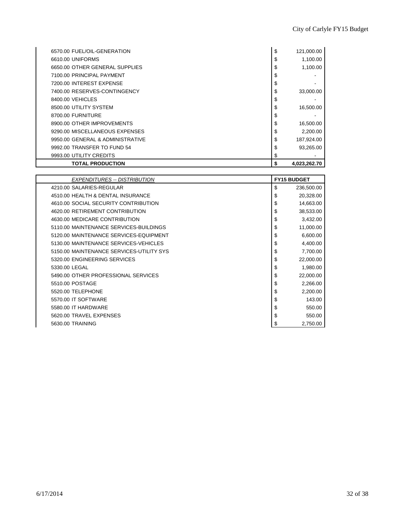| 6570.00 FUEL/OIL-GENERATION      | \$<br>121,000.00   |
|----------------------------------|--------------------|
| 6610.00 UNIFORMS                 | \$<br>1,100.00     |
| 6650.00 OTHER GENERAL SUPPLIES   | \$<br>1,100.00     |
| 7100.00 PRINCIPAL PAYMENT        | \$                 |
| 7200.00 INTEREST EXPENSE         | \$                 |
| 7400.00 RESERVES-CONTINGENCY     | \$<br>33,000.00    |
| 8400.00 VEHICLES                 | \$                 |
| 8500.00 UTILITY SYSTEM           | \$<br>16,500.00    |
| 8700.00 FURNITURE                | \$                 |
| 8900.00 OTHER IMPROVEMENTS       | \$<br>16,500.00    |
| 9290.00 MISCELLANEOUS EXPENSES   | \$<br>2.200.00     |
| 9950.00 GENERAL & ADMINISTRATIVE | \$<br>187,924.00   |
| 9992.00 TRANSFER TO FUND 54      | \$<br>93.265.00    |
| 9993.00 UTILITY CREDITS          | \$                 |
| <b>TOTAL PRODUCTION</b>          | \$<br>4,023,262.70 |

| EXPENDITURES -- DISTRIBUTION             | <b>FY15 BUDGET</b> |  |
|------------------------------------------|--------------------|--|
| 4210.00 SALARIES-REGULAR                 | \$<br>236,500.00   |  |
| 4510.00 HEALTH & DENTAL INSURANCE        | \$<br>20,328.00    |  |
| 4610.00 SOCIAL SECURITY CONTRIBUTION     | \$<br>14,663.00    |  |
| 4620.00 RETIREMENT CONTRIBUTION          | \$<br>38,533.00    |  |
| 4630.00 MEDICARE CONTRIBUTION            | \$<br>3,432.00     |  |
| 5110.00 MAINTENANCE SERVICES-BUILDINGS   | \$<br>11,000.00    |  |
| 5120.00 MAINTENANCE SERVICES-EQUIPMENT   | \$<br>6,600.00     |  |
| 5130.00 MAINTENANCE SERVICES-VEHICLES    | \$<br>4,400.00     |  |
| 5150.00 MAINTENANCE SERVICES-UTILITY SYS | \$<br>7,700.00     |  |
| 5320.00 ENGINEERING SERVICES             | \$<br>22,000.00    |  |
| 5330.00 LEGAL                            | \$<br>1,980.00     |  |
| 5490.00 OTHER PROFESSIONAL SERVICES      | \$<br>22,000.00    |  |
| 5510.00 POSTAGE                          | \$<br>2,266.00     |  |
| 5520.00 TELEPHONE                        | \$<br>2,200.00     |  |
| 5570.00 IT SOFTWARE                      | \$<br>143.00       |  |
| 5580.00 IT HARDWARE                      | \$<br>550.00       |  |
| 5620.00 TRAVEL EXPENSES                  | \$<br>550.00       |  |
| 5630.00 TRAINING                         | \$<br>2,750.00     |  |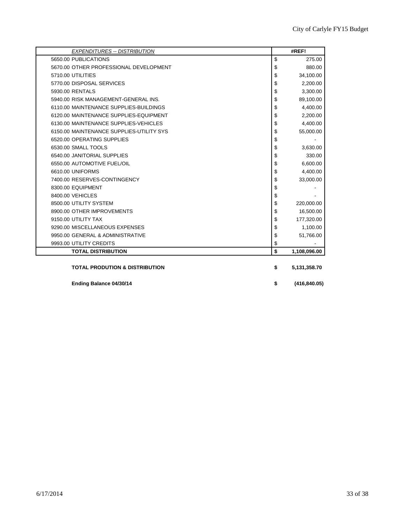| <b>EXPENDITURES -- DISTRIBUTION</b>       | #REF!               |
|-------------------------------------------|---------------------|
| 5650.00 PUBLICATIONS                      | \$<br>275.00        |
| 5670.00 OTHER PROFESSIONAL DEVELOPMENT    | \$<br>880.00        |
| 5710.00 UTILITIES                         | \$<br>34,100.00     |
| 5770.00 DISPOSAL SERVICES                 | \$<br>2,200.00      |
| 5930.00 RENTALS                           | \$<br>3,300.00      |
| 5940.00 RISK MANAGEMENT-GENERAL INS.      | \$<br>89,100.00     |
| 6110.00 MAINTENANCE SUPPLIES-BUILDINGS    | \$<br>4,400.00      |
| 6120.00 MAINTENANCE SUPPLIES-EQUIPMENT    | \$<br>2,200.00      |
| 6130.00 MAINTENANCE SUPPLIES-VEHICLES     | \$<br>4,400.00      |
| 6150.00 MAINTENANCE SUPPLIES-UTILITY SYS  | \$<br>55,000.00     |
| 6520.00 OPERATING SUPPLIES                | \$                  |
| 6530.00 SMALL TOOLS                       | \$<br>3,630.00      |
| 6540.00 JANITORIAL SUPPLIES               | \$<br>330.00        |
| 6550.00 AUTOMOTIVE FUEL/OIL               | \$<br>6,600.00      |
| 6610.00 UNIFORMS                          | \$<br>4,400.00      |
| 7400.00 RESERVES-CONTINGENCY              | \$<br>33,000.00     |
| 8300.00 EQUIPMENT                         | \$                  |
| 8400.00 VEHICLES                          | \$                  |
| 8500.00 UTILITY SYSTEM                    | \$<br>220,000.00    |
| 8900.00 OTHER IMPROVEMENTS                | \$<br>16,500.00     |
| 9150.00 UTILITY TAX                       | \$<br>177,320.00    |
| 9290.00 MISCELLANEOUS EXPENSES            | \$<br>1,100.00      |
| 9950.00 GENERAL & ADMINISTRATIVE          | \$<br>51,766.00     |
| 9993.00 UTILITY CREDITS                   | \$                  |
| <b>TOTAL DISTRIBUTION</b>                 | \$<br>1,108,096.00  |
| <b>TOTAL PRODUTION &amp; DISTRIBUTION</b> | \$<br>5,131,358.70  |
| Ending Balance 04/30/14                   | \$<br>(416, 840.05) |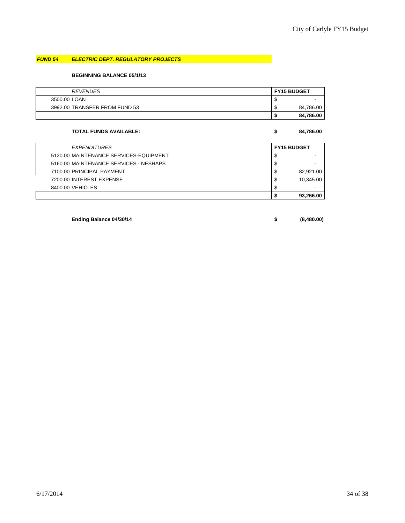# *FUND 54 ELECTRIC DEPT. REGULATORY PROJECTS*

#### **BEGINNING BALANCE 05/1/13**

| <b>REVENUES</b>               |          | <b>FY15 BUDGET</b> |
|-------------------------------|----------|--------------------|
| 3500.00 LOAN                  | ѡ        |                    |
| 3992.00 TRANSFER FROM FUND 53 | œ<br>۰IJ | 84,786.00          |
|                               |          | 84.786.00          |

#### **TOTAL FUNDS AVAILABLE: \$ 84,786.00**

| <b>EXPENDITURES</b>                    | <b>FY15 BUDGET</b> |           |
|----------------------------------------|--------------------|-----------|
| 5120.00 MAINTENANCE SERVICES-EQUIPMENT | ◡                  |           |
| 5160.00 MAINTENANCE SERVICES - NESHAPS | S                  |           |
| 7100.00 PRINCIPAL PAYMENT              | \$                 | 82,921.00 |
| 7200.00 INTEREST EXPENSE               | \$                 | 10.345.00 |
| 8400.00 VEHICLES                       |                    | -         |
|                                        |                    | 93.266.00 |

**Ending Balance 04/30/14 \$ (8,480.00)**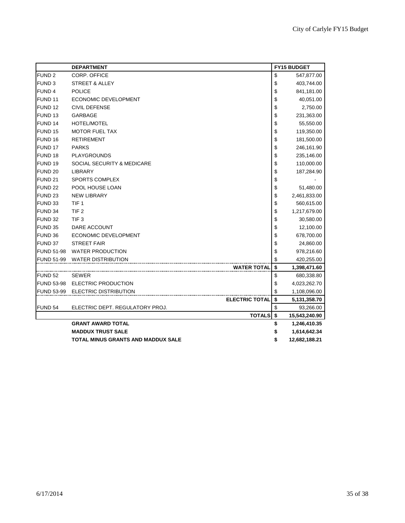|                    | <b>DEPARTMENT</b>                  |                       | <b>FY15 BUDGET</b>  |  |
|--------------------|------------------------------------|-----------------------|---------------------|--|
| FUND <sub>2</sub>  | CORP. OFFICE                       |                       | \$<br>547,877.00    |  |
| FUND <sub>3</sub>  | STREET & ALLEY                     |                       | \$<br>403,744.00    |  |
| FUND <sub>4</sub>  | <b>POLICE</b>                      |                       | \$<br>841,181.00    |  |
| FUND <sub>11</sub> | ECONOMIC DEVELOPMENT               |                       | \$<br>40,051.00     |  |
| FUND <sub>12</sub> | <b>CIVIL DEFENSE</b>               |                       | \$<br>2,750.00      |  |
| FUND <sub>13</sub> | GARBAGE                            |                       | \$<br>231,363.00    |  |
| FUND 14            | <b>HOTEL/MOTEL</b>                 |                       | \$<br>55,550.00     |  |
| FUND <sub>15</sub> | <b>MOTOR FUEL TAX</b>              |                       | \$<br>119,350.00    |  |
| FUND <sub>16</sub> | <b>RETIREMENT</b>                  |                       | \$<br>181,500.00    |  |
| <b>FUND 17</b>     | <b>PARKS</b>                       |                       | \$<br>246,161.90    |  |
| FUND <sub>18</sub> | <b>PLAYGROUNDS</b>                 |                       | \$<br>235,146.00    |  |
| FUND <sub>19</sub> | SOCIAL SECURITY & MEDICARE         |                       | \$<br>110,000.00    |  |
| FUND <sub>20</sub> | <b>LIBRARY</b>                     |                       | \$<br>187,284.90    |  |
| FUND <sub>21</sub> | <b>SPORTS COMPLEX</b>              |                       | \$                  |  |
| FUND <sub>22</sub> | POOL HOUSE LOAN                    |                       | \$<br>51,480.00     |  |
| FUND <sub>23</sub> | <b>NEW LIBRARY</b>                 |                       | \$<br>2,461,833.00  |  |
| FUND 33            | TIF <sub>1</sub>                   |                       | \$<br>560,615.00    |  |
| FUND 34            | TIF <sub>2</sub>                   |                       | \$<br>1,217,679.00  |  |
| FUND 32            | TIF <sub>3</sub>                   |                       | \$<br>30,580.00     |  |
| FUND 35            | DARE ACCOUNT                       |                       | \$<br>12,100.00     |  |
| FUND 36            | ECONOMIC DEVELOPMENT               |                       | \$<br>678,700.00    |  |
| FUND 37            | <b>STREET FAIR</b>                 |                       | \$<br>24,860.00     |  |
| <b>FUND 51-98</b>  | <b>WATER PRODUCTION</b>            |                       | \$<br>978,216.60    |  |
|                    | FUND 51-99 WATER DISTRIBUTION      |                       | \$<br>420,255.00    |  |
|                    |                                    | <b>WATER TOTAL</b>    | \$<br>1,398,471.60  |  |
| FUND 52            | <b>SEWER</b>                       |                       | \$<br>680,338.80    |  |
|                    | FUND 53-98 ELECTRIC PRODUCTION     |                       | \$<br>4,023,262.70  |  |
|                    | FUND 53-99 ELECTRIC DISTRIBUTION   |                       | \$<br>1,108,096.00  |  |
|                    |                                    | <b>ELECTRIC TOTAL</b> | \$<br>5,131,358.70  |  |
| FUND <sub>54</sub> | ELECTRIC DEPT. REGULATORY PROJ.    |                       | \$<br>93,266.00     |  |
|                    |                                    | <b>TOTALS</b>         | \$<br>15,543,240.90 |  |
|                    | <b>GRANT AWARD TOTAL</b>           |                       | \$<br>1,246,410.35  |  |
|                    | <b>MADDUX TRUST SALE</b>           |                       | \$<br>1,614,642.34  |  |
|                    | TOTAL MINUS GRANTS AND MADDUX SALE |                       | \$<br>12,682,188.21 |  |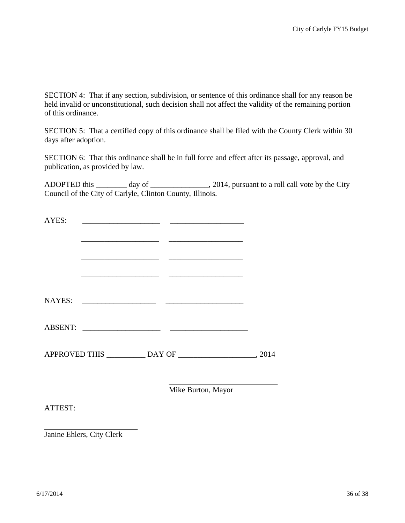SECTION 4: That if any section, subdivision, or sentence of this ordinance shall for any reason be held invalid or unconstitutional, such decision shall not affect the validity of the remaining portion of this ordinance.

SECTION 5: That a certified copy of this ordinance shall be filed with the County Clerk within 30 days after adoption.

SECTION 6: That this ordinance shall be in full force and effect after its passage, approval, and publication, as provided by law.

ADOPTED this \_\_\_\_\_\_\_\_ day of \_\_\_\_\_\_\_\_\_\_\_\_\_\_\_, 2014, pursuant to a roll call vote by the City Council of the City of Carlyle, Clinton County, Illinois.

| AYES:   |  |                    |  |
|---------|--|--------------------|--|
|         |  |                    |  |
|         |  |                    |  |
|         |  |                    |  |
|         |  |                    |  |
|         |  |                    |  |
|         |  |                    |  |
|         |  |                    |  |
|         |  |                    |  |
|         |  |                    |  |
|         |  |                    |  |
|         |  | Mike Burton, Mayor |  |
| ATTEST: |  |                    |  |
|         |  |                    |  |

Janine Ehlers, City Clerk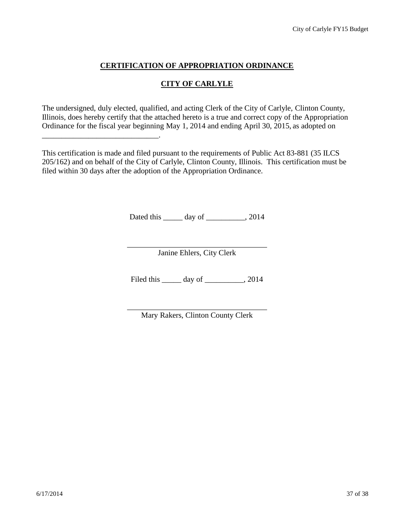# **CERTIFICATION OF APPROPRIATION ORDINANCE**

# **CITY OF CARLYLE**

The undersigned, duly elected, qualified, and acting Clerk of the City of Carlyle, Clinton County, Illinois, does hereby certify that the attached hereto is a true and correct copy of the Appropriation Ordinance for the fiscal year beginning May 1, 2014 and ending April 30, 2015, as adopted on

\_\_\_\_\_\_\_\_\_\_\_\_\_\_\_\_\_\_\_\_\_\_\_\_\_\_\_\_\_\_.

This certification is made and filed pursuant to the requirements of Public Act 83-881 (35 ILCS 205/162) and on behalf of the City of Carlyle, Clinton County, Illinois. This certification must be filed within 30 days after the adoption of the Appropriation Ordinance.

Dated this \_\_\_\_\_\_ day of \_\_\_\_\_\_\_\_\_, 2014

Janine Ehlers, City Clerk

Filed this \_\_\_\_\_\_ day of \_\_\_\_\_\_\_\_\_, 2014

Mary Rakers, Clinton County Clerk